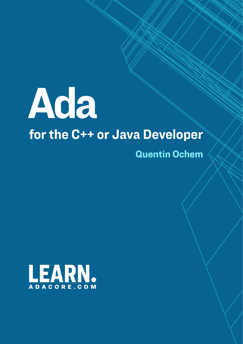

# for the C++ or Java Developer

**Quentin Ochem** 

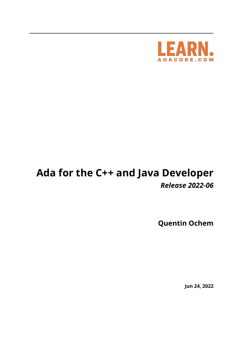

# **Ada for the C++ and Java Developer** *Release 2022-06*

**Quentin Ochem**

**Jun 24, 2022**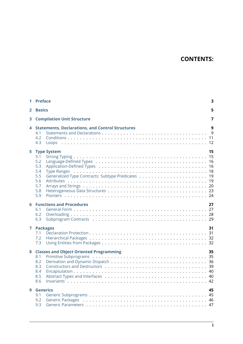# **CONTENTS:**

| 1            | <b>Preface</b>                                                                                                                                         | 3                    |  |  |
|--------------|--------------------------------------------------------------------------------------------------------------------------------------------------------|----------------------|--|--|
| $\mathbf{2}$ | <b>Basics</b>                                                                                                                                          | 5                    |  |  |
| 3            | <b>Compilation Unit Structure</b>                                                                                                                      |                      |  |  |
| 4            | <b>Statements, Declarations, and Control Structures</b><br>4.1<br>4.2<br>4.3                                                                           | 9<br>9               |  |  |
| 5            | <b>Type System</b><br>5.1<br>5.2<br>5.3<br>5.4<br>5.5<br>5.6<br>5.7<br>5.8<br>5.9                                                                      | 15<br>16<br>16<br>19 |  |  |
| 6            | <b>Functions and Procedures</b><br>6.1<br>6.2<br>6.3                                                                                                   | 27                   |  |  |
| 7            | <b>Packages</b><br>7.1<br>7.2<br>7.3                                                                                                                   | 31                   |  |  |
| 8            | <b>Classes and Object Oriented Programming</b><br>8.1<br>8.2<br>8.3<br>8.4<br>8.5<br>8.6                                                               | 35                   |  |  |
| 9            | <b>Generics</b><br>9.1<br>9.2<br>Generic Packages (all contracts) and the contracts of the contracts of the contracts of the contracts of the c<br>9.3 | 45                   |  |  |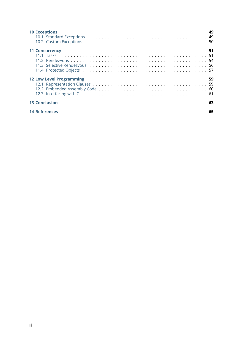| <b>10 Exceptions</b>                                                                                | 49 |
|-----------------------------------------------------------------------------------------------------|----|
| <b>11 Concurrency</b>                                                                               | 51 |
| <b>12 Low Level Programming</b><br>59<br>12.1 Representation Clauses<br>12.2 Embedded Accombly Cade | 59 |
| <b>13 Conclusion</b>                                                                                | 63 |
| <b>14 References</b>                                                                                | 65 |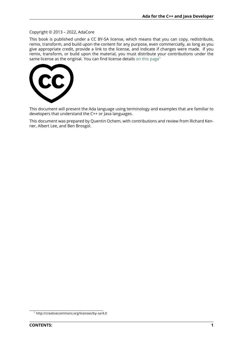#### Copyright © 2013 – 2022, AdaCore

This book is published under a CC BY-SA license, which means that you can copy, redistribute, remix, transform, and build upon the content for any purpose, even commercially, as long as you give appropriate credit, provide a link to the license, and indicate if changes were made. If you remix, transform, or build upon the material, you must distribute your contributions under the same license as the original. You can find license details on this page<sup>1</sup>



This document will present the Ada language using terminology and examples that are familiar to developers that understand the C++ or Java languages.

This document was prepared by Quentin Ochem, with contributions and review from Richard Kenner, Albert Lee, and Ben Brosgol.

<sup>1</sup> http://creativecommons.org/licenses/by-sa/4.0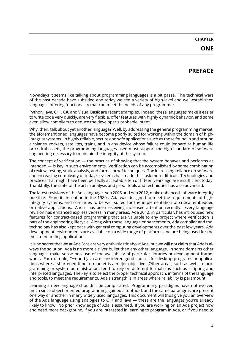# **PREFACE**

<span id="page-7-0"></span>Nowadays it seems like talking about programming languages is a bit passé. The technical wars of the past decade have subsided and today we see a variety of high-level and well-established languages offering functionality that can meet the needs of any programmer.

Python, Java, C++, C#, and Visual Basic are recent examples. Indeed, these languages make it easier to write code very quickly, are very flexible, offer features with highly dynamic behavior, and some even allow compilers to deduce the developer's probable intent.

Why, then, talk about yet another language? Well, by addressing the general programming market, the aforementioned languages have become poorly suited for working within the domain of highintegrity systems. In highly reliable, secure and safe applications such as those found in and around airplanes, rockets, satellites, trains, and in any device whose failure could jeopardize human life or critical assets, the programming languages used must support the high standard of software engineering necessary to maintain the integrity of the system.

The concept of verification — the practice of showing that the system behaves and performs as intended — is key in such environments. Verification can be accomplished by some combination of review, testing, static analysis, and formal proof techniques. The increasing reliance on software and increasing complexity of today's systems has made this task more difficult. Technologies and practices that might have been perfectly acceptable ten or fifteen years ago are insufficient today. Thankfully, the state of the art in analysis and proof tools and techniques has also advanced.

The latest revisions of the Ada language, Ada 2005 and Ada 2012, make enhanced software integrity possible. From its inception in the 1980s, Ada was designed to meet the requirements of highintegrity systems, and continues to be well-suited for the implementation of critical embedded or native applications. And it has been receiving increased attention recently. Every language revision has enhanced expressiveness in many areas. Ada 2012, in particular, has introduced new features for contract-based programming that are valuable to any project where verification is part of the engineering lifecycle. Along with these language enhancements, Ada compiler and tool technology has also kept pace with general computing developments over the past few years. Ada development environments are available on a wide range of platforms and are being used for the most demanding applications.

It is no secret that we at AdaCore are very enthusiastic about Ada, but we will not claim that Ada is always the solution; Ada is no more a silver bullet than any other language. In some domains other languages make sense because of the availability of particular libraries or development frameworks. For example, C++ and Java are considered good choices for desktop programs or applications where a shortened time to market is a major objective. Other areas, such as website programming or system administration, tend to rely on different formalisms such as scripting and interpreted languages. The key is to select the proper technical approach, in terms of the language and tools, to meet the requirements. Ada's strength is in areas where reliability is paramount.

Learning a new language shouldn't be complicated. Programming paradigms have not evolved much since object oriented programming gained a foothold, and the same paradigms are present one way or another in many widely used languages. This document will thus give you an overview of the Ada language using analogies to C++ and Java — these are the languages you're already likely to know. No prior knowledge of Ada is assumed. If you are working on an Ada project now and need more background, if you are interested in learning to program in Ada, or if you need to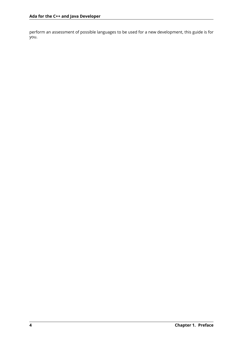perform an assessment of possible languages to be used for a new development, this guide is for you.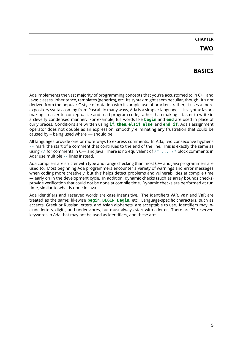# **BASICS**

<span id="page-9-0"></span>Ada implements the vast majority of programming concepts that you're accustomed to in C++ and Java: classes, inheritance, templates (generics), etc. Its syntax might seem peculiar, though. It's not derived from the popular C style of notation with its ample use of brackets; rather, it uses a more expository syntax coming from Pascal. In many ways, Ada is a simpler language — its syntax favors making it easier to conceptualize and read program code, rather than making it faster to write in a cleverly condensed manner. For example, full words like **begin** and **end** are used in place of curly braces. Conditions are written using **if**, **then**, **elsif**, **else**, and **end if**. Ada's assignment operator does not double as an expression, smoothly eliminating any frustration that could be caused by  $=$  being used where  $==$  should be.

All languages provide one or more ways to express comments. In Ada, two consecutive hyphens *--* mark the start of a comment that continues to the end of the line. This is exactly the same as using *//* for comments in C++ and Java. There is no equivalent of */\* ... /\** block comments in Ada; use multiple *--* lines instead.

Ada compilers are stricter with type and range checking than most C++ and Java programmers are used to. Most beginning Ada programmers encounter a variety of warnings and error messages when coding more creatively, but this helps detect problems and vulnerabilities at compile time — early on in the development cycle. In addition, dynamic checks (such as array bounds checks) provide verification that could not be done at compile time. Dynamic checks are performed at run time, similar to what is done in Java.

Ada identifiers and reserved words are case insensitive. The identifiers VAR, var and VaR are treated as the same; likewise **begin**, **BEGIN**, **Begin**, etc. Language-specific characters, such as accents, Greek or Russian letters, and Asian alphabets, are acceptable to use. Identifiers may include letters, digits, and underscores, but must always start with a letter. There are 73 reserved keywords in Ada that may not be used as identifiers, and these are: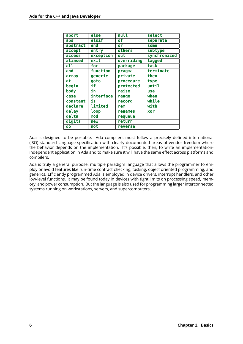| abort    | else          | null       | select       |
|----------|---------------|------------|--------------|
| abs      | elsif         | οf         | separate     |
| abstract | end           | or         | some         |
| accept   | entry         | others     | subtype      |
| access   | exception     | out        | synchronized |
| aliased  | exit          | overriding | tagged       |
| all      | for           | package    | task         |
| and      | function      | pragma     | terminate    |
| array    | generic       | private    | then         |
| at       | goto          | procedure  | type         |
| begin    | if            | protected  | until        |
| body     | in            | raise      | use          |
| case     | interface     | range      | when         |
| constant | $\mathbf{is}$ | record     | while        |
| declare  | limited       | rem        | with         |
| delay    | loop          | renames    | xor          |
| delta    | mod           | requeue    |              |
| digits   | new           | return     |              |
| do       | not           | reverse    |              |

Ada is designed to be portable. Ada compilers must follow a precisely defined international (ISO) standard language specification with clearly documented areas of vendor freedom where the behavior depends on the implementation. It's possible, then, to write an implementationindependent application in Ada and to make sure it will have the same effect across platforms and compilers.

Ada is truly a general purpose, multiple paradigm language that allows the programmer to employ or avoid features like run-time contract checking, tasking, object oriented programming, and generics. Efficiently programmed Ada is employed in device drivers, interrupt handlers, and other low-level functions. It may be found today in devices with tight limits on processing speed, memory, and power consumption. But the language is also used for programming larger interconnected systems running on workstations, servers, and supercomputers.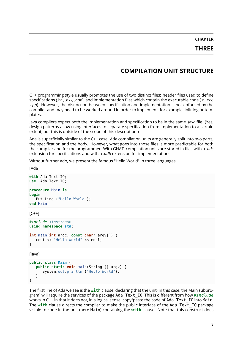**CHAPTER THREE**

# **COMPILATION UNIT STRUCTURE**

<span id="page-11-0"></span>C++ programming style usually promotes the use of two distinct files: header files used to define specifications (.h\*, *.hxx*, *.hpp*), and implementation files which contain the executable code (*.c*, *.cxx*, *.cpp*). However, the distinction between specification and implementation is not enforced by the compiler and may need to be worked around in order to implement, for example, inlining or templates.

Java compilers expect both the implementation and specification to be in the same *.java* file. (Yes, design patterns allow using interfaces to separate specification from implementation to a certain extent, but this is outside of the scope of this description.)

Ada is superficially similar to the C++ case: Ada compilation units are generally split into two parts, the specification and the body. However, what goes into those files is more predictable for both the compiler and for the programmer. With GNAT, compilation units are stored in files with a *.ads* extension for specifications and with a *.adb* extension for implementations.

Without further ado, we present the famous "Hello World" in three languages:

[Ada]

```
with Ada.Text_IO;
use Ada.Text_IO;
procedure Main is
begin
   Put Line ("Hello World");
end Main;
```
 $[C++]$ 

```
#include <iostream>
using namespace std;
int main(int argc, const char* argv[]) {
  cout << "Hello World" << endl;
}
```
[Java]

```
public class Main {
  public static void main(String [] argv) {
      System.out.println ("Hello World");
  }
}
```
The first line of Ada we see is the **with** clause, declaring that the unit (in this case, the Main subprogram) will require the services of the package Ada.Text\_IO. This is different from how *#include* works in C++ in that it does not, in a logical sense, copy/paste the code of Ada.Text\_IO into Main. The **with** clause directs the compiler to make the public interface of the Ada.Text\_IO package visible to code in the unit (here Main) containing the **with** clause. Note that this construct does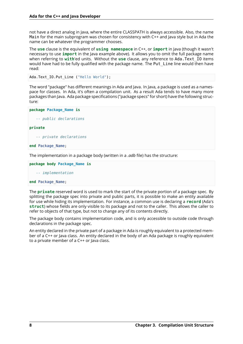not have a direct analog in Java, where the entire CLASSPATH is always accessible. Also, the name Main for the main subprogram was chosen for consistency with C++ and Java style but in Ada the name can be whatever the programmer chooses.

The **use** clause is the equivalent of **using namespace** in C++, or **import** in Java (though it wasn't necessary to use **import** in the Java example above). It allows you to omit the full package name when referring to **with**'ed units. Without the **use** clause, any reference to Ada.Text\_IO items would have had to be fully qualified with the package name. The Put\_Line line would then have read:

Ada.Text\_IO.Put\_Line ("Hello World");

The word "package" has different meanings in Ada and Java. In Java, a package is used as a namespace for classes. In Ada, it's often a compilation unit. As a result Ada tends to have many more packages than Java. Ada package specifications ("package specs" for short) have the following structure:

#### **package Package\_Name is**

*-- public declarations*

#### **private**

```
-- private declarations
```
**end** Package\_Name;

The implementation in a package body (written in a *.adb* file) has the structure:

#### **package body Package\_Name is**

*-- implementation*

#### **end** Package\_Name;

The **private** reserved word is used to mark the start of the private portion of a package spec. By splitting the package spec into private and public parts, it is possible to make an entity available for use while hiding its implementation. For instance, a common use is declaring a **record** (Ada's **struct**) whose fields are only visible to its package and not to the caller. This allows the caller to refer to objects of that type, but not to change any of its contents directly.

The package body contains implementation code, and is only accessible to outside code through declarations in the package spec.

An entity declared in the private part of a package in Ada is roughly equivalent to a protected member of a C++ or Java class. An entity declared in the body of an Ada package is roughly equivalent to a private member of a C++ or Java class.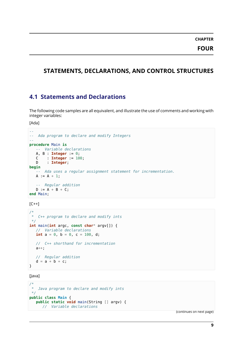# <span id="page-13-0"></span>**STATEMENTS, DECLARATIONS, AND CONTROL STRUCTURES**

# <span id="page-13-1"></span>**4.1 Statements and Declarations**

The following code samples are all equivalent, and illustrate the use of comments and working with integer variables:

[Ada]

```
--
-- Ada program to declare and modify Integers
--
procedure Main is
  -- Variable declarations
  A, B : Integer := 0;
  C : Integer := 100;
  D : Integer;
begin
  -- Ada uses a regular assignment statement for incrementation.
  A := A + 1;-- Regular addition
  D := A + B + C;end Main;
```
 $[C++]$ 

```
/*
* C++ program to declare and modify ints
*/
int main(int argc, const char* argv[]) {
  // Variable declarations
  int a = 0, b = 0, c = 100, d;
  // C++ shorthand for incrementation
  a++;
  // Regular addition
  d = a + b + c;}
```
[lava]

```
/*
* Java program to declare and modify ints
*/
public class Main {
  public static void main(String [] argv) {
     // Variable declarations
```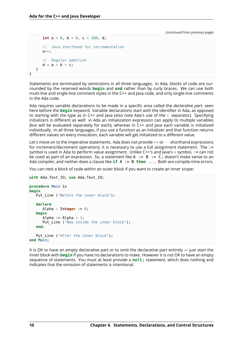```
int a = 0, b = 0, c = 100, d;
      // Java shorthand for incrementation
     a++;
      // Regular addition
     d = a + b + c;
  }
}
```
Statements are terminated by semicolons in all three languages. In Ada, blocks of code are surrounded by the reserved words **begin** and **end** rather than by curly braces. We can use both multi-line and single-line comment styles in the C++ and Java code, and only single-line comments in the Ada code.

Ada requires variable declarations to be made in a specific area called the *declarative part*, seen here before the **begin** keyword. Variable declarations start with the identifier in Ada, as opposed to starting with the type as in C++ and Java (also note Ada's use of the : separator). Specifying initializers is different as well: in Ada an initialization expression can apply to multiple variables (but will be evaluated separately for each), whereas in C++ and Java each variable is initialized individually. In all three languages, if you use a function as an initializer and that function returns different values on every invocation, each variable will get initialized to a different value.

Let's move on to the imperative statements. Ada does not provide ++ or -- shorthand expressions for increment/decrement operations; it is necessary to use a full assignment statement. The := symbol is used in Ada to perform value assignment. Unlike C++'s and Java's = symbol, := can not be used as part of an expression. So, a statement like A  $:= B := C$ ; doesn't make sense to an Ada compiler, and neither does a clause like **if** A := B **then** .... Both are compile-time errors.

You can nest a block of code within an outer block if you want to create an inner scope:

```
with Ada.Text_IO; use Ada.Text_IO;
procedure Main is
begin
  Put Line ("Before the inner block");
   declare
     Alpha : Integer := 0;
  begin
      Alpha := Alpha +1;
      Put Line ("Now inside the inner block");
  end;
  Put Line ("After the inner block");
end Main;
```
It is OK to have an empty declarative part or to omit the declarative part entirely — just start the inner block with **begin** if you have no declarations to make. However it is not OK to have an empty sequence of statements. You must at least provide a **null**; statement, which does nothing and indicates that the omission of statements is intentional.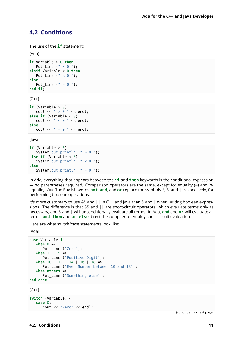### <span id="page-15-0"></span>**4.2 Conditions**

The use of the **if** statement:

#### [Ada]

```
if Variable > 0 then
   Put Line (" > 0 ");
elsif Variable < 0 then
   Put Line (" < 0 ");
else
   Put_Line (" = 0");
end if;
```
 $[C++]$ 

```
if (Variable > 0)
   cout \ll " > 0 " \ll endl;
else if (Variable < 0)
  cout << " < 0 " << endl:
else
   cout << " = 0 " << endl;
```
[Java]

```
if (Variable > 0)
  System.out.println (" > 0");
else if (Variable < 0)
  System.out.println (" < 0 ");
else
  System.out.println (" = 0");
```
In Ada, everything that appears between the **if** and **then** keywords is the conditional expression — no parentheses required. Comparison operators are the same, except for equality (=) and inequality (/=). The English words **not**, **and**, and **or** replace the symbols !, &, and |, respectively, for performing boolean operations.

It's more customary to use  $&\&$  and  $| \ |$  in C++ and Java than  $&$  and  $|$  when writing boolean expressions. The difference is that  $\&\&$  and  $||$  are short-circuit operators, which evaluate terms only as necessary, and & and | will unconditionally evaluate all terms. In Ada, **and** and **or** will evaluate all terms; **and then** and **or else** direct the compiler to employ short circuit evaluation.

Here are what switch/case statements look like:

[Ada]

```
case Variable is
   when \theta =>
      Put Line ("Zero");
   when 1 .. 9 =>
      Put_Line ("Positive Digit");
   when 10 | 12 | 14 | 16 | 18 =>
      Put Line ("Even Number between 10 and 18");
   when others =>
      Put Line ("Something else");
end case;
```
 $[C++]$ 

```
switch (Variable) {
   case 0:
      cout << "Zero" << endl;
```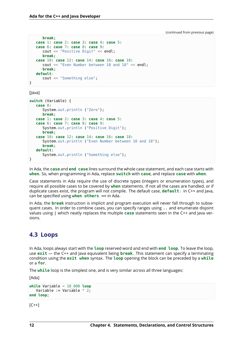```
break;
case 1: case 2: case 3: case 4: case 5:
case 6: case 7: case 8: case 9:
   cout << "Positive Digit" << endl;
  break;
case 10: case 12: case 14: case 16: case 18:
  cout << "Even Number between 10 and 18" << endl;
  break;
default:
  cout << "Something else";
```
[Java]

}

```
switch (Variable) {
   case 0:
      System.out.println ("Zero");
      break;
   case 1: case 2: case 3: case 4: case 5:
   case 6: case 7: case 8: case 9:
      System.out.println ("Positive Digit");
      break;
   case 10: case 12: case 14: case 16: case 18:
      System.out.println ("Even Number between 10 and 18");
      break;
   default:
      System.out.println ("Something else");
}
```
In Ada, the **case** and **end case** lines surround the whole case statement, and each case starts with **when**. So, when programming in Ada, replace **switch** with **case**, and replace **case** with **when**.

Case statements in Ada require the use of discrete types (integers or enumeration types), and require all possible cases to be covered by **when** statements. If not all the cases are handled, or if duplicate cases exist, the program will not compile. The default case, **default**: in C++ and Java, can be specified using **when others** => in Ada.

In Ada, the **break** instruction is implicit and program execution will never fall through to subsequent cases. In order to combine cases, you can specify ranges using .. and enumerate disjoint values using | which neatly replaces the multiple **case** statements seen in the C++ and Java versions.

#### <span id="page-16-0"></span>**4.3 Loops**

In Ada, loops always start with the **loop** reserved word and end with **end loop**. To leave the loop, use **exit** — the C++ and Java equivalent being **break**. This statement can specify a terminating condition using the **exit when** syntax. The **loop** opening the block can be preceded by a **while** or a **for**.

The **while** loop is the simplest one, and is very similar across all three languages:

[Ada]

```
while Variable < 10_000 loop
  Variable := Variable * 2;end loop;
```
 $[C++]$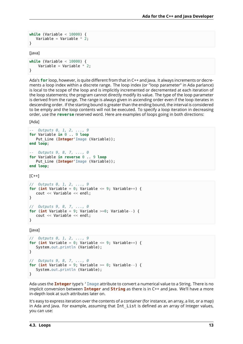```
while (Variable < 10000) {
   Variable = Variable * 2;
}
```
[Java]

```
while (Variable < 10000) {
    Variable = Variable * 2;
}
```
Ada's **for** loop, however, is quite different from that in C++ and Java. It always increments or decrements a loop index within a discrete range. The loop index (or "loop parameter" in Ada parlance) is local to the scope of the loop and is implicitly incremented or decremented at each iteration of the loop statements; the program cannot directly modify its value. The type of the loop parameter is derived from the range. The range is always given in ascending order even if the loop iterates in descending order. If the starting bound is greater than the ending bound, the interval is considered to be empty and the loop contents will not be executed. To specify a loop iteration in decreasing order, use the **reverse** reserved word. Here are examples of loops going in both directions:

[Ada]

```
-- Outputs 0, 1, 2, ..., 9
for Variable in 0 .. 9 loop
  Put Line (Integer'Image (Variable));
end loop;
-- Outputs 9, 8, 7, ..., 0
for Variable in reverse 0 .. 9 loop
  Put Line (Integer'Image (Variable));
end loop;
```
 $[C++]$ 

```
// Outputs 0, 1, 2, ..., 9
for (int Variable = \theta; Variable <= 9; Variable++) {
  cout << Variable << endl;
}
// Outputs 9, 8, 7, ..., 0
for (int Variable = 9; Variable >=0; Variable--) {
   cout << Variable << endl;
}
```
[Java]

```
// Outputs 0, 1, 2, ..., 9
for (int Variable = 0; Variable <= 9; Variable++) {
  System.out.println (Variable);
}
// Outputs 9, 8, 7, ..., 0
for (int Variable = 9; Variable >= 0; Variable--) {
  System.out.println (Variable);
}
```
Ada uses the **Integer** type's 'Image attribute to convert a numerical value to a String. There is no implicit conversion between **Integer** and **String** as there is in C++ and Java. We'll have a more in-depth look at such attributes later on.

It's easy to express iteration over the contents of a container (for instance, an array, a list, or a map) in Ada and Java. For example, assuming that Int List is defined as an array of Integer values, you can use: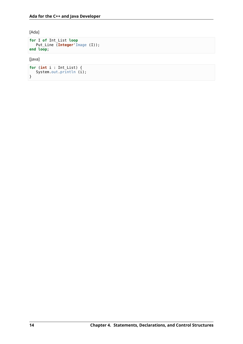[Ada]

```
for I of Int_List loop
   Put_Line (Integer'Image (I));
end loop;
```
[Java]

```
for (int i : Int_List) {
   System.out.println (i);
}
```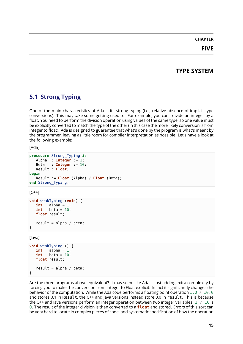# **CHAPTER**

# **FIVE**

# **TYPE SYSTEM**

# <span id="page-19-1"></span><span id="page-19-0"></span>**5.1 Strong Typing**

One of the main characteristics of Ada is its strong typing (i.e., relative absence of implicit type conversions). This may take some getting used to. For example, you can't divide an integer by a float. You need to perform the division operation using values of the same type, so one value must be explicitly converted to match the type of the other (in this case the more likely conversion is from integer to float). Ada is designed to guarantee that what's done by the program is what's meant by the programmer, leaving as little room for compiler interpretation as possible. Let's have a look at the following example:

[Ada]

```
procedure Strong_Typing is
  Alpha : Integer := 1;
  Beta : Integer := 10;
  Result : Float;
begin
  Result := Float (Alpha) / Float (Beta);
end Strong_Typing;
```
 $[C++]$ 

```
void weakTyping (void) {
  int alpha = 1;
  int beta = 10;
  float result;
   result = alpha / beta;
}
```
[lava]

```
void weakTyping () {
  int alpha = 1;
   int beta = 10;
   float result;
   result = alpha / beta;
}
```
Are the three programs above equivalent? It may seem like Ada is just adding extra complexity by forcing you to make the conversion from Integer to Float explicit. In fact it significantly changes the behavior of the computation. While the Ada code performs a floating point operation  $1.0 / 10.0$ and stores 0.1 in Result, the C++ and Java versions instead store 0.0 in result. This is because the C++ and lava versions perform an integer operation between two integer variables:  $1 / 10$  is 0. The result of the integer division is then converted to a **float** and stored. Errors of this sort can be very hard to locate in complex pieces of code, and systematic specification of how the operation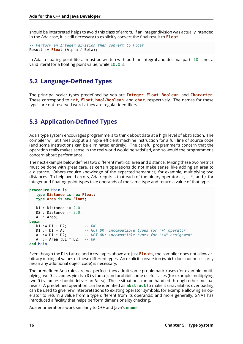should be interpreted helps to avoid this class of errors. If an integer division was actually intended in the Ada case, it is still necessary to explicitly convert the final result to **Float**:

```
-- Perform an Integer division then convert to Float
Result := Float (Alpha / Beta);
```
In Ada, a floating point literal must be written with both an integral and decimal part. 10 is not a valid literal for a floating point value, while 10.0 is.

# <span id="page-20-0"></span>**5.2 Language-Defined Types**

The principal scalar types predefined by Ada are **Integer**, **Float**, **Boolean**, and **Character**. These correspond to **int**, **float**, **bool**/**boolean**, and **char**, respectively. The names for these types are not reserved words; they are regular identifiers.

# <span id="page-20-1"></span>**5.3 Application-Defined Types**

Ada's type system encourages programmers to think about data at a high level of abstraction. The compiler will at times output a simple efficient machine instruction for a full line of source code (and some instructions can be eliminated entirely). The careful programmer's concern that the operation really makes sense in the real world would be satisfied, and so would the programmer's concern about performance.

The next example below defines two different metrics: area and distance. Mixing these two metrics must be done with great care, as certain operations do not make sense, like adding an area to a distance. Others require knowledge of the expected semantics; for example, multiplying two distances. To help avoid errors, Ada requires that each of the binary operators  $+$ ,  $-$ ,  $*$ , and / for integer and floating-point types take operands of the same type and return a value of that type.

```
procedure Main is
   type Distance is new Float;
   type Area is new Float;
   D1 : Distance := 2.0;
   D2 : Distance := 3.0;
   A : Area;
begin
   D1 := D1 + D2; -- OK
   D1 := DI + A; <br>A := DI * D2; <br>-- NOT OK: incompatible types for ":=" assignmentional A := DI * D2;
                            A := D1 * D2; -- NOT OK: incompatible types for ":=" assignment
   A := Area (D1 * D2); -- OK
end Main;
```
Even though the Distance and Area types above are just **Float**s, the compiler does not allow arbitrary mixing of values of these different types. An explicit conversion (which does not necessarily mean any additional object code) is necessary.

The predefined Ada rules are not perfect; they admit some problematic cases (for example multiplying two Distances yields a Distance) and prohibit some useful cases (for example multiplying two Distances should deliver an Area). These situations can be handled through other mechanisms. A predefined operation can be identified as **abstract** to make it unavailable; overloading can be used to give new interpretations to existing operator symbols, for example allowing an operator to return a value from a type different from its operands; and more generally, GNAT has introduced a facility that helps perform dimensionality checking.

Ada enumerations work similarly to C++ and Java's **enum**s.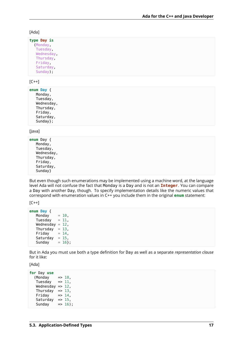#### [Ada]

| type Day is |  |
|-------------|--|
| (Monday,    |  |
| Tuesday,    |  |
| Wednesday,  |  |
| Thursday,   |  |
| Friday,     |  |
| Saturday,   |  |
| Sunday);    |  |

#### $[C++]$

| enum Day { |           |            |
|------------|-----------|------------|
|            | Monday,   |            |
|            | Tuesday,  |            |
|            |           | Wednesday, |
|            | Thursday, |            |
|            | Friday,   |            |
|            | Saturday, |            |
|            | Sunday;   |            |

#### [Java]

| <b>enum</b> Dav { |
|-------------------|
| Monday,           |
| Tuesday,          |
| Wednesday,        |
| Thursday,         |
| Friday,           |
| Saturday,         |
| Sunday}           |
|                   |

But even though such enumerations may be implemented using a machine word, at the language level Ada will not confuse the fact that Monday is a Day and is not an **Integer**. You can compare a Day with another Day, though. To specify implementation details like the numeric values that correspond with enumeration values in C++ you include them in the original **enum** statement:

 $[C++]$ 

```
enum Day {
   Monday = 10,
   Tuesday = 11,
   Wednesday = 12,
   Thursday = 13,
   Friday = 14,
   Saturday = 15,<br>Sunday = 16};
   Sunday
```
But in Ada you must use both a type definition for Day as well as a separate *representation clause* for it like:

[Ada]

```
for Day use
   (Monday \implies 10)Tuesday \Rightarrow 11,
    Wednesday \Rightarrow 12,
    Thursday \Rightarrow 13,
    Friday \Rightarrow 14,
    Saturday \Rightarrow 15,
    Sunday \leftarrow => 16);
```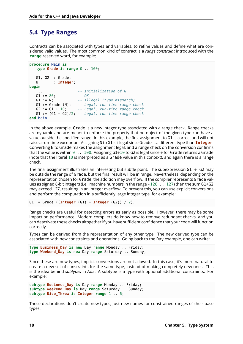# <span id="page-22-0"></span>**5.4 Type Ranges**

Contracts can be associated with types and variables, to refine values and define what are considered valid values. The most common kind of contract is a *range constraint* introduced with the **range** reserved word, for example:

```
procedure Main is
  type Grade is range 0 .. 100;
  G1, G2 : Grade;
  N : Integer;
begin
   ... -- Initialization of N
  G1 := 80;<br>G1 := N;G1 := N; -- Illegal (type mismatch)
  G1 := Grade (N); -- Legal, run-time range check
  G2 := G1 + 10; -- Legal, run-time range check
  G1 := (G1 + G2)/2; -- Legal, run-time range check
end Main;
```
In the above example, Grade is a new integer type associated with a range check. Range checks are dynamic and are meant to enforce the property that no object of the given type can have a value outside the specified range. In this example, the first assignment to G1 is correct and will not raise a run-time exceprion. Assigning N to G1 is illegal since Grade is a different type than **Integer**. Converting N to Grade makes the assignment legal, and a range check on the conversion confirms that the value is within  $\theta_{1}$ . 100. Assigning G1+10 to G2 is legal since + for Grade returns a Grade (note that the literal 10 is interpreted as a Grade value in this context), and again there is a range check.

The final assignment illustrates an interesting but subtle point. The subexpression  $G1 + G2$  may be outside the range of Grade, but the final result will be in range. Nevertheless, depending on the representation chosen for Grade, the addition may overflow. If the compiler represents Grade values as signed 8-bit integers (i.e., machine numbers in the range  $-128$ . 127) then the sum G1+G2 may exceed 127, resulting in an integer overflow. To prevent this, you can use explicit conversions and perform the computation in a sufficiently large integer type, for example:

G1 := Grade ((**Integer** (G1) + **Integer** (G2)) / 2);

Range checks are useful for detecting errors as early as possible. However, there may be some impact on performance. Modern compilers do know how to remove redundant checks, and you can deactivate these checks altogether if you have sufficient confidence that your code will function correctly.

Types can be derived from the representation of any other type. The new derived type can be associated with new constraints and operations. Going back to the Day example, one can write:

```
type Business_Day is new Day range Monday .. Friday;
type Weekend_Day is new Day range Saturday .. Sunday;
```
Since these are new types, implicit conversions are not allowed. In this case, it's more natural to create a new set of constraints for the same type, instead of making completely new ones. This is the idea behind *subtypes* in Ada. A subtype is a type with optional additional constraints. For example:

```
subtype Business_Day is Day range Monday .. Friday;
subtype Weekend_Day is Day range Saturday .. Sunday;
subtype Dice_Throw is Integer range 1 .. 6;
```
These declarations don't create new types, just new names for constrained ranges of their base types.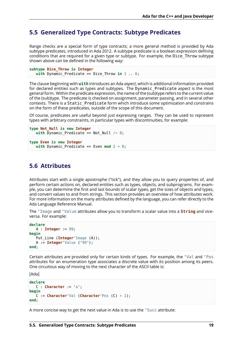#### <span id="page-23-0"></span>**5.5 Generalized Type Contracts: Subtype Predicates**

Range checks are a special form of type contracts; a more general method is provided by Ada subtype predicates, introduced in Ada 2012. A subtype predicate is a boolean expression defining conditions that are required for a given type or subtype. For example, the Dice\_Throw subtype shown above can be defined in the following way:

```
subtype Dice_Throw is Integer
  with Dynamic Predicate => Dice Throw in 1 .. 6;
```
The clause beginning with **with** introduces an Ada *aspect*, which is additional information provided for declared entities such as types and subtypes. The Dynamic\_Predicate aspect is the most general form. Within the predicate expression, the name of the (sub)type refers to the current value of the (sub)type. The predicate is checked on assignment, parameter passing, and in several other contexts. There is a Static\_Predicate form which introduce some optimization and constrains on the form of these predicates, outside of the scope of this document.

Of course, predicates are useful beyond just expressing ranges. They can be used to represent types with arbitrary constraints, in particular types with discontinuities, for example:

```
type Not_Null is new Integer
  with Dynamic_Predicate => Not_Null /= 0;
type Even is new Integer
  with Dynamic Predicate => Even mod 2 = 0;
```
### <span id="page-23-1"></span>**5.6 Attributes**

Attributes start with a single apostrophe ("tick"), and they allow you to query properties of, and perform certain actions on, declared entities such as types, objects, and subprograms. For example, you can determine the first and last bounds of scalar types, get the sizes of objects and types, and convert values to and from strings. This section provides an overview of how attributes work. For more information on the many attributes defined by the language, you can refer directly to the Ada Language Reference Manual.

The 'Image and 'Value attributes allow you to transform a scalar value into a **String** and viceversa. For example:

```
declare
  A : Integer := 99;
begin
   Put Line (Integer'Image (A));
   A := Integer'Value ("99");
end;
```
Certain attributes are provided only for certain kinds of types. For example, the 'Val and 'Pos attributes for an enumeration type associates a discrete value with its position among its peers. One circuitous way of moving to the next character of the ASCII table is:

```
[Ada]
```

```
declare
   C : Character := 'a';
begin
   C := Character'Val (Character'Pos (C) + 1);
end;
```
A more concise way to get the next value in Ada is to use the 'Succ attribute: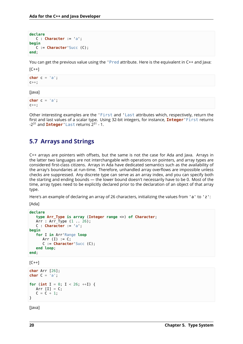```
declare
   C : Character := 'a';
begin
  C := Character'Succ (C);
end;
```
You can get the previous value using the 'Pred attribute. Here is the equivalent in C++ and Java:

 $IC++$ ]

**char** c = 'a'; c++;

[Java]

**char** c = 'a';  $C++;$ 

Other interesting examples are the 'First and 'Last attributes which, respectively, return the first and last values of a scalar type. Using 32-bit integers, for instance, **Integer**'First returns -2<sup>31</sup> and **Integer**'Last returns 2<sup>31</sup> - 1.

# <span id="page-24-0"></span>**5.7 Arrays and Strings**

C++ arrays are pointers with offsets, but the same is not the case for Ada and Java. Arrays in the latter two languages are not interchangable with operations on pointers, and array types are considered first-class citizens. Arrays in Ada have dedicated semantics such as the availability of the array's boundaries at run-time. Therefore, unhandled array overflows are impossible unless checks are suppressed. Any discrete type can serve as an array index, and you can specify both the starting and ending bounds — the lower bound doesn't necessarily have to be 0. Most of the time, array types need to be explicitly declared prior to the declaration of an object of that array type.

Here's an example of declaring an array of 26 characters, initializing the values from 'a' to 'z':

[Ada]

```
declare
  type Arr_Type is array (Integer range <>) of Character;
  Arr : Arr_Type (1 .. 26);
  C : Character := 'a';
begin
  for I in Arr'Range loop
     Arr (I) := C;
     C := Character'Succ (C);
  end loop;
end;
[C++]
```

```
char Arr [26];
char C = 'a';
for (int I = 0; I < 26; ++I) {
   Arr [I] = C;
   C = C + 1;}
```
[Java]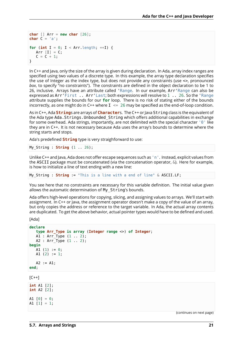```
char [] Arr = new char [26];
char C = 'a';
for (int I = 0; I < Arr length; ++I) {
   Arr [I] = C;
   C = C + 1:
}
```
In C++ and Java, only the size of the array is given during declaration. In Ada, array index ranges are specified using two values of a discrete type. In this example, the array type declaration specifies the use of Integer as the index type, but does not provide any constraints (use <>, pronounced *box*, to specify "no constraints"). The constraints are defined in the object declaration to be 1 to 26, inclusive. Arrays have an attribute called 'Range. In our example, Arr'Range can also be expressed as Arr'First .. Arr'Last; both expressions will resolve to 1 .. 26. So the 'Range attribute supplies the bounds for our **for** loop. There is no risk of stating either of the bounds incorrectly, as one might do in C++ where  $I \le 26$  may be specified as the end-of-loop condition.

As in C++, Ada **String**s are arrays of **Character**s. The C++ or Java String class is the equivalent of the Ada type Ada. Strings. Unbounded String which offers additional capabilities in exchange for some overhead. Ada strings, importantly, are not delimited with the special character '0' like they are in C++. It is not necessary because Ada uses the array's bounds to determine where the string starts and stops.

Ada's predefined **String** type is very straighforward to use:

My\_String : **String** (1 .. 26);

Unlike C++ and Java, Ada does not offer escape sequences such as 'n'. Instead, explicit values from the ASCII package must be concatenated (via the concatenation operator,  $\&$ ). Here for example, is how to initialize a line of text ending with a new line:

My\_String : **String** := "This is a line with a end of line" & ASCII.LF;

You see here that no constraints are necessary for this variable definition. The initial value given allows the automatic determination of My\_String's bounds.

Ada offers high-level operations for copying, slicing, and assigning values to arrays. We'll start with assignment. In C++ or Java, the assignment operator doesn't make a copy of the value of an array, but only copies the address or reference to the target variable. In Ada, the actual array contents are duplicated. To get the above behavior, actual pointer types would have to be defined and used.

[Ada]

```
declare
  type Arr_Type is array (Integer range <>) of Integer;
  A1 : Arr_Type (1 .. 2);
  A2 : Arr_Type (1 .. 2);
begin
  A1 (1) := 0;A1 (2) := 1;A2 := A1;end;
[C++]int A1 [2];
int A2 [2];
A1 [0] = 0;
A1 [1] = 1;
```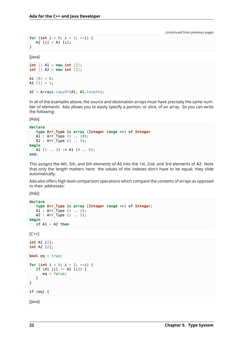```
for (int i = 0; i < 2; ++i) {
   A2 [i] = A1 [i];
}
```
[Java]

```
int [] A1 = new int [2];
int [] A2 = new int [2];
A1 [0] = 0;A1 [1] = 1;
A2 = Arrays.copyOf(A1, A1.length);
```
In all of the examples above, the source and destination arrays must have precisely the same number of elements. Ada allows you to easily specify a portion, or slice, of an array. So you can write the following:

[Ada]

```
declare
  type Arr_Type is array (Integer range <>) of Integer
  A1 : Arr_Type (1 .. 10);
  A2 : Arr Type (1 .. 5);
begin
  A2 (1 \t3) := A1 (4 \t6);end;
```
This assigns the 4th, 5th, and 6th elements of A1 into the 1st, 2nd, and 3rd elements of A2. Note that only the length matters here: the values of the indexes don't have to be equal; they slide automatically.

Ada also offers high level comparison operations which compare the contents of arrays as opposed to their addresses:

[Ada]

```
declare
   type Arr_Type is array (Integer range <>) of Integer;
   A1 : Arr_Type (1 .. 2);
  A2 : Arr_Type (1 .. 2);
begin
   if A1 = A2 then
```
 $[C++]$ 

```
int A1 [2];
int A2 [2];
bool eq = true;
for (int i = 0; i < 2; ++i) {
   if (A1 [i] != A2 [i]) {
      eq = false;}
}
if (eq) {
```
[Java]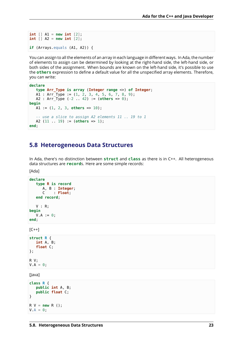```
int \begin{bmatrix} 1 \\ 41 \end{bmatrix} = new int \begin{bmatrix} 2 \\ 1 \end{bmatrix};
int [] A2 = new int [2];
if (Arrays.equals (A1, A2)) {
```
You can assign to all the elements of an array in each language in different ways. In Ada, the number of elements to assign can be determined by looking at the right-hand side, the left-hand side, or both sides of the assignment. When bounds are known on the left-hand side, it's possible to use the **others** expression to define a default value for all the unspecified array elements. Therefore, you can write:

```
declare
  type Arr_Type is array (Integer range <>) of Integer;
  A1 : Arr_Type := (1, 2, 3, 4, 5, 6, 7, 8, 9);
  A2 : Arr_Type (-2 .. 42) := (others => 0);
begin
  A1 := (1, 2, 3, others => 10);
   -- use a slice to assign A2 elements 11 .. 19 to 1
  A2 (11 .. 19) := (others => 1);
end;
```
#### <span id="page-27-0"></span>**5.8 Heterogeneous Data Structures**

In Ada, there's no distinction between **struct** and **class** as there is in C++. All heterogeneous data structures are **record**s. Here are some simple records:

[Ada]

```
declare
  type R is record
     A, B : Integer;
     C : Float;
  end record;
  V : R;
begin
  V.A := 0;end;
[C++]
```

```
struct R {
   int A, B;
   float C;
};
R V;
V.A = 0;
```
[Java]

```
class R {
   public int A, B;
   public float C;
}
R V = new R ();
V.A = 0;
```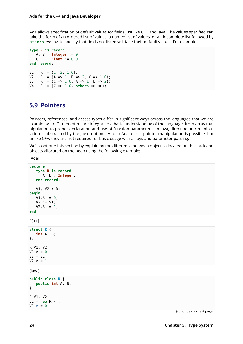Ada allows specification of default values for fields just like C++ and Java. The values specified can take the form of an ordered list of values, a named list of values, or an incomplete list followed by **others** => <> to specify that fields not listed will take their default values. For example:

```
type R is record
   A, B : Integer := 0;
   C : Float := 0.0;
end record;
V1 : R := (1, 2, 1.0);V2 : R := (A \Rightarrow 1, B \Rightarrow 2, C \Rightarrow 1.0);V3 : R := (C \Rightarrow 1.0, A \Rightarrow 1, B \Rightarrow 2);
V4 : R := (C => 1.0, others => <>);
```
### <span id="page-28-0"></span>**5.9 Pointers**

Pointers, references, and access types differ in significant ways across the languages that we are examining. In C++, pointers are integral to a basic understanding of the language, from array manipulation to proper declaration and use of function parameters. In Java, direct pointer manipulation is abstracted by the Java runtime. And in Ada, direct pointer manipulation is possible, but unlike C++, they are not required for basic usage with arrays and parameter passing.

We'll continue this section by explaining the difference between objects allocated on the stack and objects allocated on the heap using the following example:

[Ada]

```
declare
   type R is record
     A, B : Integer;
   end record;
   V1, V2 : R;
begin
   V1.A := 0;V2 := V1;V2.A := 1;end;
[C++]struct R {
  int A, B;
};
R V1, V2;
V1.A = 0;V2 = V1;V2.A = 1;[Java]
public class R {
   public int A, B;
}
R V1, V2;
V1 = new R ();
```
(continues on next page)

 $V1.A = 0;$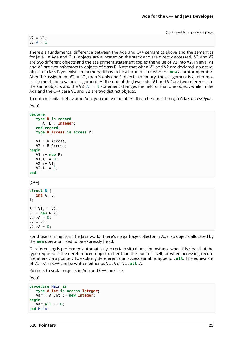$V2 = V1;$  $V2.A = 1;$ 

There's a fundamental difference between the Ada and C++ semantics above and the semantics for Java. In Ada and C++, objects are allocated on the stack and are directly accessed. V1 and V2 are two different objects and the assignment statement copies the value of V1 into V2. In Java, V1 and V2 are two *references* to objects of class R. Note that when V1 and V2 are declared, no actual object of class R yet exists in memory: it has to be allocated later with the **new** allocator operator. After the assignment  $V2 = V1$ , there's only one R object in memory: the assignment is a reference assignment, not a value assignment. At the end of the Java code, V1 and V2 are two references to the same objects and the V2. $A = 1$  statement changes the field of that one object, while in the Ada and the C++ case V1 and V2 are two distinct objects.

To obtain similar behavior in Ada, you can use pointers. It can be done through Ada's *access type*:

```
[Ada]
```

```
declare
   type R is record
     A, B : Integer;
   end record;
   type R_Access is access R;
   V1 : R Access;
   V2 : R_Access;
begin
   V1 := new R;
   V1.A := 0;V2 := V1:
   V2.A := 1;end;
[C++]struct R {
   int A, B;
};
R * VI. * V2;
V1 = new R();
V1 - > A = 0:
V2 = V1;
```
For those coming from the Java world: there's no garbage collector in Ada, so objects allocated by the **new** operator need to be expressly freed.

Dereferencing is performed automatically in certain situations, for instance when it is clear that the type required is the dereferenced object rather than the pointer itself, or when accessing record members via a pointer. To explicitly dereference an access variable, append .**all**. The equivalent of V1->A in C++ can be written either as V1.A or V1.**all**.A.

Pointers to scalar objects in Ada and C++ look like:

[Ada]

 $V2 - > A = 0$ ;

```
procedure Main is
   type A_Int is access Integer;
   Var : A_Int := new Integer;
begin
   Var.all := 0;
end Main;
```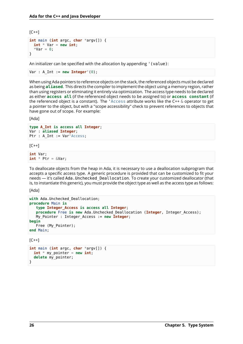$[C++]$ 

```
int main (int argc, char *argv[]) {
 int * Var = new int;*Var = 0:
}
```
An initializer can be specified with the allocation by appending '(value):

```
Var : A Int := new Integer'(0);
```
When using Ada pointers to reference objects on the stack, the referenced objects must be declared as being **aliased**. This directs the compiler to implement the object using a memory region, rather than using registers or eliminating it entirely via optimization. The access type needs to be declared as either **access all** (if the referenced object needs to be assigned to) or **access constant** (if the referenced object is a constant). The 'Access attribute works like the C++ & operator to get a pointer to the object, but with a "scope accessibility" check to prevent references to objects that have gone out of scope. For example:

[Ada]

```
type A_Int is access all Integer;
Var : aliased Integer;
Ptr : A_Int := Var'Access;
```
 $[C++]$ 

```
int Var;
int * Ptr = &Var;
```
To deallocate objects from the heap in Ada, it is necessary to use a deallocation subprogram that accepts a specific access type. A generic procedure is provided that can be customized to fit your needs — it's called Ada.Unchecked\_Deallocation. To create your customized deallocator (that is, to instantiate this generic), you must provide the object type as well as the access type as follows:

[Ada]

```
with Ada.Unchecked_Deallocation;
procedure Main is
  type Integer_Access is access all Integer;
  procedure Free is new Ada.Unchecked_Deallocation (Integer, Integer_Access);
  My_Pointer : Integer_Access := new Integer;
begin
  Free (My_Pointer);
end Main;
```
 $IC++$ ]

```
int main (int argc, char *argv[]) {
 int * my\_pointer = new int;delete my_pointer;
}
```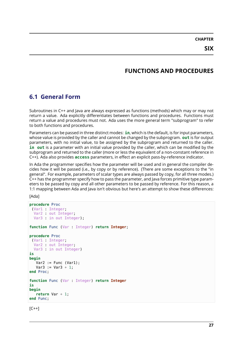**CHAPTER**

# **FUNCTIONS AND PROCEDURES**

# <span id="page-31-1"></span><span id="page-31-0"></span>**6.1 General Form**

Subroutines in C++ and Java are always expressed as functions (methods) which may or may not return a value. Ada explicitly differentiates between functions and procedures. Functions must return a value and procedures must not. Ada uses the more general term "subprogram" to refer to both functions and procedures.

Parameters can be passed in three distinct modes: **in**, which is the default, is for input parameters, whose value is provided by the caller and cannot be changed by the subprogram. **out** is for output parameters, with no initial value, to be assigned by the subprogram and returned to the caller. **in out** is a parameter with an initial value provided by the caller, which can be modified by the subprogram and returned to the caller (more or less the equivalent of a non-constant reference in C++). Ada also provides **access** parameters, in effect an explicit pass-by-reference indicator.

In Ada the programmer specifies how the parameter will be used and in general the compiler decides how it will be passed (i.e., by copy or by reference). (There are some exceptions to the "in general". For example, parameters of scalar types are always passed by copy, for all three modes.) C++ has the programmer specify how to pass the parameter, and Java forces primitive type parameters to be passed by copy and all other parameters to be passed by reference. For this reason, a 1:1 mapping between Ada and Java isn't obvious but here's an attempt to show these differences:

[Ada]

```
procedure Proc
 (Var1 : Integer;
  Var2 out Integer;
 Var3 in out Integer);
function Func (Var : Integer) return Integer;
procedure Proc
(Var1 : Integer;
 Var2 : out Integer;
 Var3 in out Integer)
is
begin
  Var2 := Func (Var1):Var3 := Var3 + 1:
end Proc;
function Func (Var : Integer) return Integer
is
begin
   return Var + 1;
end Func;
```
 $[C++]$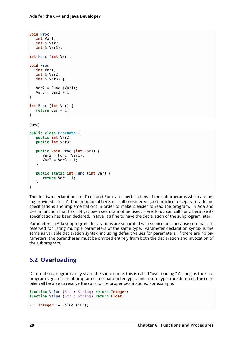```
void Proc
  (int Var1,
   int & Var2,
   int & Var3);
int Func (int Var);
void Proc
  (int Var1,
   int & Var2,
   int & Var3) {
   Var2 = Func (Var1);Var3 = Var3 + 1;
}
int Func (int Var) {
   return Var + 1;
}
```
[Java]

```
public class ProcData {
   public int Var2;
   public int Var3;
   public void Proc (int Var1) {
      Var2 = Func (Var1);Var3 = Var3 + 1:
   }
   public static int Func (int Var) {
      return Var + 1;
   }
}
```
The first two declarations for Proc and Func are specifications of the subprograms which are being provided later. Although optional here, it's still considered good practice to separately define specifications and implementations in order to make it easier to read the program. In Ada and C++, a function that has not yet been seen cannot be used. Here, Proc can call Func because its specification has been declared. In Java, it's fine to have the declaration of the subprogram later .

Parameters in Ada subprogram declarations are separated with semicolons, because commas are reserved for listing multiple parameters of the same type. Parameter declaration syntax is the same as variable declaration syntax, including default values for parameters. If there are no parameters, the parentheses must be omitted entirely from both the declaration and invocation of the subprogram.

# <span id="page-32-0"></span>**6.2 Overloading**

Different subprograms may share the same name; this is called "overloading." As long as the subprogram signatures (subprogram name, parameter types, and return types) are different, the compiler will be able to resolve the calls to the proper destinations. For example:

```
function Value (Str : String) return Integer;
function Value (Str : String) return Float;
```

```
V : Integer := Value ("8");
```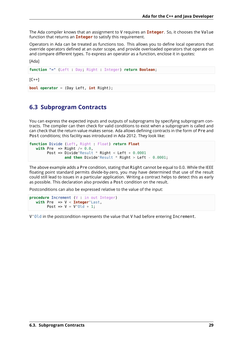The Ada compiler knows that an assignment to V requires an **Integer**. So, it chooses the Value function that returns an **Integer** to satisfy this requirement.

Operators in Ada can be treated as functions too. This allows you to define local operators that override operators defined at an outer scope, and provide overloaded operators that operate on and compare different types. To express an operator as a function, enclose it in quotes:

[Ada]

**function** "=" (Left : Day; Right : Integer) **return Boolean**;

 $[C++]$ 

**bool operator** = (Day Left, **int** Right);

#### <span id="page-33-0"></span>**6.3 Subprogram Contracts**

You can express the expected inputs and outputs of subprograms by specifying subprogram contracts. The compiler can then check for valid conditions to exist when a subprogram is called and can check that the return value makes sense. Ada allows defining contracts in the form of Pre and Post conditions; this facility was introduced in Ada 2012. They look like:

```
function Divide (Left, Right : Float) return Float
  with Pre => Right /= 0.0,
       Post => Divide'Result * Right < Left + 0.0001
               and then Divide'Result * Right > Left - 0.0001;
```
The above example adds a Pre condition, stating that Right cannot be equal to 0.0. While the IEEE floating point standard permits divide-by-zero, you may have determined that use of the result could still lead to issues in a particular application. Writing a contract helps to detect this as early as possible. This declaration also provides a Post condition on the result.

Postconditions can also be expressed relative to the value of the input:

```
procedure Increment (V : in out Integer)
  with Pre => V < Integer'Last,
       Post => V = V'0ld + 1;
```
V'Old in the postcondition represents the value that V had before entering Increment.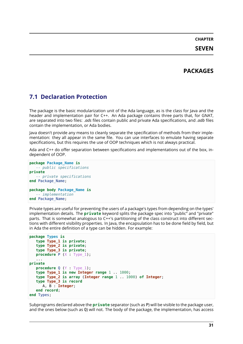# **PACKAGES**

# <span id="page-35-1"></span><span id="page-35-0"></span>**7.1 Declaration Protection**

The package is the basic modularization unit of the Ada language, as is the class for Java and the header and implementation pair for C++. An Ada package contains three parts that, for GNAT, are separated into two files: *.ads* files contain public and private Ada specifications, and *.adb* files contain the implementation, or Ada bodies.

Java doesn't provide any means to cleanly separate the specification of methods from their implementation: they all appear in the same file. You can use interfaces to emulate having separate specifications, but this requires the use of OOP techniques which is not always practical.

Ada and C++ do offer separation between specifications and implementations out of the box, independent of OOP.

```
package Package_Name is
   -- public specifications
private
   -- private specifications
end Package_Name;
package body Package_Name is
  -- implementation
end Package_Name;
```
Private types are useful for preventing the users of a package's types from depending on the types' implementation details. The **private** keyword splits the package spec into "public" and "private" parts. That is somewhat analogous to C++'s partitioning of the class construct into different sections with different visibility properties. In Java, the encapsulation has to be done field by field, but in Ada the entire definition of a type can be hidden. For example:

```
package Types is
   type Type_1 is private;
   type Type_2 is private;
   type Type_3 is private;
   procedure P (X : Type 1);
   ...
private
   procedure Q (Y : Type 1);
   type Type_1 is new Integer range 1 .. 1000;
   type Type_2 is array (Integer range 1 .. 1000) of Integer;
   type Type_3 is record
      A, B : Integer;
   end record;
end Types;
```
Subprograms declared above the **private** separator (such as P) will be visible to the package user, and the ones below (such as Q) will not. The body of the package, the implementation, has access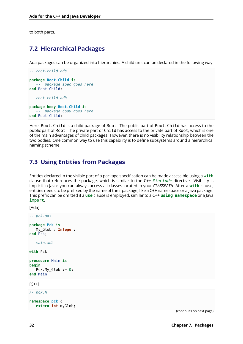to both parts.

# <span id="page-36-0"></span>**7.2 Hierarchical Packages**

Ada packages can be organized into hierarchies. A child unit can be declared in the following way:

```
-- root-child.ads
package Root.Child is
  -- package spec goes here
end Root.Child;
-- root-child.adb
package body Root.Child is
  -- package body goes here
end Root.Child;
```
Here, Root.Child is a child package of Root. The public part of Root.Child has access to the public part of Root. The private part of Child has access to the private part of Root, which is one of the main advantages of child packages. However, there is no visibility relationship between the two bodies. One common way to use this capability is to define subsystems around a hierarchical naming scheme.

# <span id="page-36-1"></span>**7.3 Using Entities from Packages**

Entities declared in the visible part of a package specification can be made accessible using a **with** clause that references the package, which is similar to the C++ *#include* directive. Visibility is implicit in Java: you can always access all classes located in your *CLASSPATH*. After a **with** clause, entities needs to be prefixed by the name of their package, like a C++ namespace or a Java package. This prefix can be omitted if a **use** clause is employed, similar to a C++ **using namespace** or a Java **import**.

[Ada]

```
-- pck.ads
package Pck is
  My_Glob : Integer;
end Pck;
-- main.adb
with Pck;
procedure Main is
begin
   Pck.My_Glob := 0;
end Main;
```
 $[C++]$ 

*// pck.h*

```
namespace pck {
   extern int myGlob;
```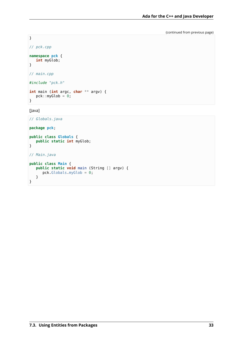}

```
// pck.cpp
```

```
namespace pck {
  int myGlob;
}
```
*// main.cpp*

```
#include "pck.h"
```

```
int main (int argc, char ** argv) {
  pck::myGlob = 0;
}
```
[Java]

```
// Globals.java
```
**package pck**;

```
public class Globals {
   public static int myGlob;
}
// Main.java
public class Main {
   public static void main (String [] argv) {
      pck.Globals.myGlob = 0;
   }
}
```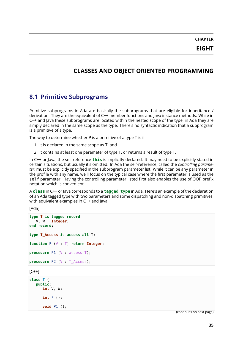# <span id="page-39-0"></span>**CLASSES AND OBJECT ORIENTED PROGRAMMING**

# <span id="page-39-1"></span>**8.1 Primitive Subprograms**

Primitive subprograms in Ada are basically the subprograms that are eligible for inheritance / derivation. They are the equivalent of C++ member functions and Java instance methods. While in C++ and Java these subprograms are located within the nested scope of the type, in Ada they are simply declared in the same scope as the type. There's no syntactic indication that a subprogram is a primitive of a type.

The way to determine whether P is a primitive of a type T is if

- 1. it is declared in the same scope as T, and
- 2. it contains at least one parameter of type T, or returns a result of type T.

In C++ or Java, the self reference **this** is implicitly declared. It may need to be explicitly stated in certain situations, but usually it's omitted. In Ada the self-reference, called the *controlling parameter*, must be explicitly specified in the subprogram parameter list. While it can be any parameter in the profile with any name, we'll focus on the typical case where the first parameter is used as the self parameter. Having the controlling parameter listed first also enables the use of OOP prefix notation which is convenient.

A **class** in C++ or Java corresponds to a **tagged type** in Ada. Here's an example of the declaration of an Ada tagged type with two parameters and some dispatching and non-dispatching primitives, with equivalent examples in C++ and lava:

[Ada]

```
type T is tagged record
  V, W : Integer;
end record;
type T_Access is access all T;
function F (V : T) return Integer;
procedure P1 (V : access T);
procedure P2 (V : T_Access);
[C++]class T {
```

```
public:
   int V, W;
   int F ();
   void P1 ();
```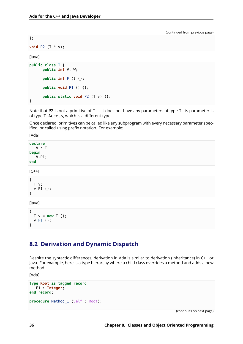};

**void** P2 (T \* v);

[Java]

```
public class T {
      public int V, W;
      public int F () {};
      public void P1 () {};
      public static void P2 (T v) {};
}
```
Note that P2 is not a primitive of  $T - i$ t does not have any parameters of type T. Its parameter is of type T\_Access, which is a different type.

Once declared, primitives can be called like any subprogram with every necessary parameter specified, or called using prefix notation. For example:

[Ada]

**declare** V : T; **begin** V.P1; **end**;

 $[C++]$ 

{ T v; v.P1 (); }

[Java]

```
{
 T v = new T ();
  v.P1 ();
}
```
# <span id="page-40-0"></span>**8.2 Derivation and Dynamic Dispatch**

Despite the syntactic differences, derivation in Ada is similar to derivation (inheritance) in C++ or Java. For example, here is a type hierarchy where a child class overrides a method and adds a new method:

[Ada]

```
type Root is tagged record
  F1 : Integer;
end record;
procedure Method 1 (Self : Root);
```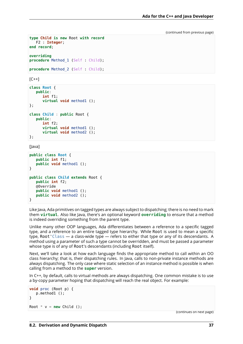```
type Child is new Root with record
  F2 : Integer;
end record;
overriding
procedure Method_1 (Self : Child);
```
**procedure** Method 2 (Self : Child);

 $IC++]$ 

```
class Root {
   public:
      int f1;
      virtual void method1 ();
};
class Child : public Root {
   public:
      int f2;
      virtual void method1 ();
      virtual void method2 ();
};
```
[Java]

```
public class Root {
   public int f1;
   public void method1 ();
}
public class Child extends Root {
   public int f2;
   @Override
   public void method1 ();
   public void method2 ();
}
```
Like Java, Ada primitives on tagged types are always subject to dispatching; there is no need to mark them **virtual**. Also like Java, there's an optional keyword **overriding** to ensure that a method is indeed overriding something from the parent type.

Unlike many other OOP languages, Ada differentiates between a reference to a specific tagged type, and a reference to an entire tagged type hierarchy. While Root is used to mean a specific type, Root'Class — a class-wide type — refers to either that type or any of its descendants. A method using a parameter of such a type cannot be overridden, and must be passed a parameter whose type is of any of Root's descendants (including Root itself).

Next, we'll take a look at how each language finds the appropriate method to call within an OO class hierarchy; that is, their dispatching rules. In Java, calls to non-private instance methods are always dispatching. The only case where static selection of an instance method is possible is when calling from a method to the **super** version.

In C++, by default, calls to virtual methods are always dispatching. One common mistake is to use a by-copy parameter hoping that dispatching will reach the real object. For example:

```
void proc (Root p) {
  p.method1 ();
}
Root * v = new Child();
```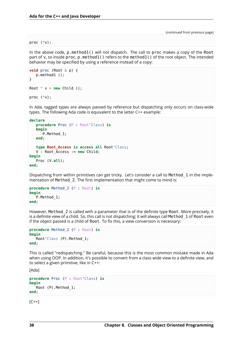#### proc (\*v);

In the above code, p.method1() will not dispatch. The call to proc makes a copy of the Root part of v, so inside proc, p.method1() refers to the method1() of the root object. The intended behavior may be specified by using a reference instead of a copy:

```
void proc (Root & p) {
   p.method1 ();
}
Root * v = new Child();
proc (*v);
```
In Ada, tagged types are always passed by reference but dispatching only occurs on class-wide types. The following Ada code is equivalent to the latter C++ example:

```
declare
   procedure Proc (P : Root'Class) is
   begin
      P.Method_1;
   end;
   type Root_Access is access all Root'Class;
   V : Root_Access := new Child;
begin
   Proc (V.all);
end;
```
Dispatching from within primitives can get tricky. Let's consider a call to Method\_1 in the implementation of Method 2. The first implementation that might come to mind is:

```
procedure Method_2 (P : Root) is
begin
   P.Method_1;
end;
```
However, Method\_2 is called with a parameter that is of the definite type Root. More precisely, it is a definite view of a child. So, this call is not dispatching; it will always call Method 1 of Root even if the object passed is a child of Root. To fix this, a view conversion is necessary:

```
procedure Method_2 (P : Root) is
begin
   Root'Class (P).Method_1;
end;
```
This is called "redispatching." Be careful, because this is the most common mistake made in Ada when using OOP. In addition, it's possible to convert from a class wide view to a definite view, and to select a given primitive, like in C++:

```
[Ada]
```

```
procedure Proc (P : Root'Class) is
begin
   Root (P).Method_1;
end;
```
 $[C++]$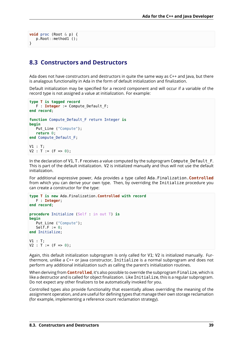```
void proc (Root & p) {
   p.Root::method1 ();
}
```
#### <span id="page-43-0"></span>**8.3 Constructors and Destructors**

Ada does not have constructors and destructors in quite the same way as C++ and Java, but there is analagous functionality in Ada in the form of default initialization and finalization.

Default initialization may be specified for a record component and will occur if a variable of the record type is not assigned a value at initialization. For example:

```
type T is tagged record
   F : Integer := Compute Default F;
end record;
function Compute_Default_F return Integer is
begin
   Put Line ("Compute");
   return 0;
end Compute_Default_F;
V1 : T;
V2 : T := (F \Rightarrow 0):
```
In the declaration of V1, T. F receives a value computed by the subprogram Compute Default F. This is part of the default initialization. V2 is initialized manually and thus will not use the default initialization.

For additional expressive power, Ada provides a type called Ada.Finalization.**Controlled** from which you can derive your own type. Then, by overriding the Initialize procedure you can create a constructor for the type:

```
type T is new Ada.Finalization.Controlled with record
   F : Integer;
end record;
procedure Initialize (Self : in out T) is
begin
   Put_Line ("Compute");
   Self.F := 0;
end Initialize;
V1 : T;
V2 : T := (F \Rightarrow 0):
```
Again, this default initialization subprogram is only called for V1; V2 is initialized manually. Furthermore, unlike a C++ or Java constructor, Initialize is a normal subprogram and does not perform any additional initialization such as calling the parent's initialization routines.

When deriving from **Controlled**, it's also possible to override the subprogram Finalize, which is like a destructor and is called for object finalization. Like Initialize, this is a regular subprogram. Do not expect any other finalizers to be automatically invoked for you.

Controlled types also provide functionality that essentially allows overriding the meaning of the assignment operation, and are useful for defining types that manage their own storage reclamation (for example, implementing a reference count reclamation strategy).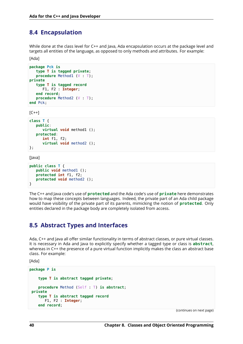### <span id="page-44-0"></span>**8.4 Encapsulation**

While done at the class level for C++ and Java, Ada encapsulation occurs at the package level and targets all entities of the language, as opposed to only methods and attributes. For example:

[Ada]

```
package Pck is
   type T is tagged private;
   procedure Method1 (V : T);
private
   type T is tagged record
      F1, F2 : Integer;
   end record;
   procedure Method2 (V : T);
end Pck;
```
 $[C++]$ 

```
class T {
   public:
      virtual void method1 ();
   protected:
      int f1, f2;
      virtual void method2 ();
};
```
[Java]

```
public class T {
   public void method1 ();
   protected int f1, f2;
   protected void method2 ();
}
```
The C++ and Java code's use of **protected** and the Ada code's use of **private** here demonstrates how to map these concepts between languages. Indeed, the private part of an Ada child package would have visibility of the private part of its parents, mimicking the notion of **protected**. Only entities declared in the package body are completely isolated from access.

#### <span id="page-44-1"></span>**8.5 Abstract Types and Interfaces**

Ada, C++ and Java all offer similar functionality in terms of abstract classes, or pure virtual classes. It is necessary in Ada and Java to explicitly specify whether a tagged type or class is **abstract**, whereas in C++ the presence of a pure virtual function implicitly makes the class an abstract base class. For example:

[Ada]

```
package P is
    type T is abstract tagged private;
    procedure Method (Self : T) is abstract;
private
    type T is abstract tagged record
       F1, F2 : Integer;
    end record;
```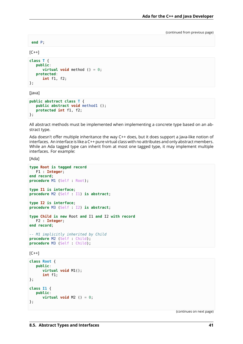**end** P;

 $[C++]$ 

```
class T {
   public:
      virtual void method () = \theta;
   protected:
      int f1, f2;
};
```
[Java]

```
public abstract class T {
   public abstract void method1 ();
   protected int f1, f2;
};
```
All abstract methods must be implemented when implementing a concrete type based on an abstract type.

Ada doesn't offer multiple inheritance the way C++ does, but it does support a Java-like notion of interfaces. An interface is like a C++ pure virtual class with no attributes and only abstract members. While an Ada tagged type can inherit from at most one tagged type, it may implement multiple interfaces. For example:

[Ada]

```
type Root is tagged record
  F1 : Integer;
end record;
procedure M1 (Self : Root);
type I1 is interface;
procedure M2 (Self : I1) is abstract;
type I2 is interface;
procedure M3 (Self : I2) is abstract;
type Child is new Root and I1 and I2 with record
  F2 : Integer;
end record;
-- M1 implicitly inherited by Child
procedure M2 (Self : Child);
procedure M3 (Self : Child);
```
 $[C++]$ 

```
class Root {
   public:
      virtual void M1();
      int f1;
};
class I1 {
   public:
      virtual void M2 () = 0;
};
```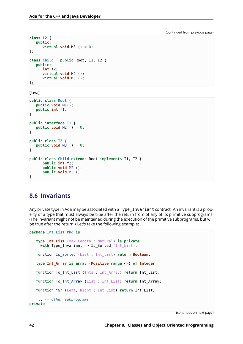```
class I2 {
   public:
      virtual void M3 () = 0;
};
class Child : public Root, I1, I2 {
   public:
      int f2;
      virtual void M2 ();
      virtual void M3 ();
};
```
[Java]

```
public class Root {
   public void M1();
   public int f1;
}
public interface I1 {
   public void M2 () = 0;
}
public class I2 {
   public void M3 () = 0;
}
public class Child extends Root implements I1, I2 {
      public int f2;
      public void M2 ();
      public void M3 ();
}
```
# <span id="page-46-0"></span>**8.6 Invariants**

Any private type in Ada may be associated with a Type\_Invariant contract. An invariant is a property of a type that must always be true after the return from of any of its primitive subprograms. (The invariant might not be maintained during the execution of the primitive subprograms, but will be true after the return.) Let's take the following example:

```
package Int_List_Pkg is
  type Int_List (Max_Length : Natural) is private
    with Type Invariant => Is Sorted (Int List);
  function Is_Sorted (List : Int_List) return Boolean;
  type Int_Array is array (Positive range <>) of Integer;
  function To_Int_List (Ints : Int_Array) return Int_List;
  function To_Int_Array (List : Int_List) return Int_Array;
  function "&" (Left, Right : Int_List) return Int_List;
   ... -- Other subprograms
private
```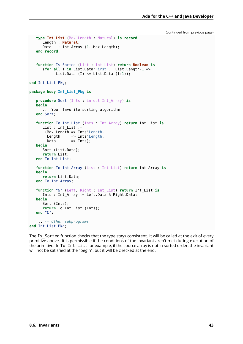```
(continued from previous page)
```

```
type Int_List (Max_Length : Natural) is record
     Length : Natural;
     Data : Int Array (1..Max Length);
  end record;
  function Is_Sorted (List : Int_List) return Boolean is
      (for all I in List.Data'First .. List.Length-1 =>
           List.Data (I) \leq List.Data (I+1));
end Int_List_Pkg;
package body Int_List_Pkg is
   procedure Sort (Ints : in out Int_Array) is
  begin
      ... Your favorite sorting algorithm
  end Sort;
  function To_Int_List (Ints : Int_Array) return Int_List is
     List : Int List :=
       (Max Length => Ints'Length,
       Length => Ints'Length,
       Data => Ints;
  begin
     Sort (List.Data);
      return List;
  end To_Int_List;
  function To_Int_Array (List : Int_List) return Int_Array is
  begin
      return List.Data;
  end To_Int_Array;
  function "&" (Left, Right : Int_List) return Int_List is
      Ints : Int Array := Left.Data & Right.Data;
  begin
     Sort (Ints);
      return To_Int_List (Ints);
  end "&";
   ... -- Other subprograms
end Int_List_Pkg;
```
The Is Sorted function checks that the type stays consistent. It will be called at the exit of every primitive above. It is permissible if the conditions of the invariant aren't met during execution of the primitive. In To Int List for example, if the source array is not in sorted order, the invariant will not be satisfied at the "begin", but it will be checked at the end.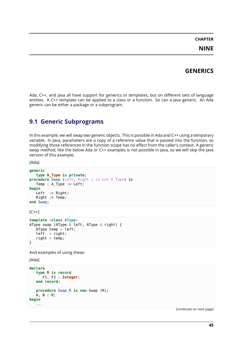# **CHAPTER NINE**

### **GENERICS**

Ada, C++, and Java all have support for generics or templates, but on different sets of language entities. A C++ template can be applied to a class or a function. So can a Java generic. An Ada generic can be either a package or a subprogram.

#### **9.1 Generic Subprograms**

In this example, we will swap two generic objects. This is possible in Ada and C++ using a temporary variable. In Java, parameters are a copy of a reference value that is passed into the function, so modifying those references in the function scope has no effect from the caller's context. A generic swap method, like the below Ada or C++ examples is not possible in Java, so we will skip the Java version of this example.

[Ada]

```
generic
  type A_Type is private;
procedure Swap (Left, Right : in out A_Type) is
  Temp : A_Type := Left;
begin
  Left := Right;
  Right := Temp;end Swap;
```
 $[C++]$ 

```
template <class AType>
AType swap (AType & left, AType & right) {
  AType temp = left;
  left = right;right = temp;}
```
And examples of using these:

[Ada]

```
declare
   type R is record
      F1, F2 : Integer;
   end record;
   procedure Swap_R is new Swap (R);
   A, B : R;
begin
   ...
```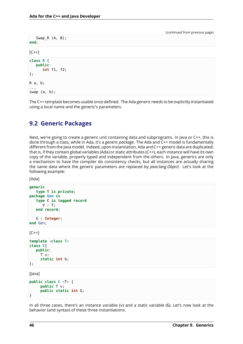| Swap $_R$ $(A, B)$ ;<br>end;                |  |
|---------------------------------------------|--|
| $[C++]$                                     |  |
| class R {<br>public:<br>int f1, f2;<br>$};$ |  |
| R a, b;<br>$\sim 100$<br>swap $(a, b)$ ;    |  |
|                                             |  |

The C++ template becomes usable once defined. The Ada generic needs to be explicitly instantiated using a local name and the generic's parameters.

### **9.2 Generic Packages**

Next, we're going to create a generic unit containing data and subprograms. In Java or C++, this is done through a class, while in Ada, it's a *generic package*. The Ada and C++ model is fundamentally different from the Java model. Indeed, upon instantiation, Ada and C++ generic data are duplicated; that is, if they contain global variables (Ada) or static attributes (C++), each instance will have its own copy of the variable, properly typed and independent from the others. In Java, generics are only a mechanism to have the compiler do consistency checks, but all instances are actually sharing the same data where the generic parameters are replaced by *java.lang.Object*. Let's look at the following example:

[Ada]

```
generic
   type T is private;
package Gen is
   type C is tagged record
      V : T;end record;
   G : Integer;
end Gen;
```
 $[C++]$ 

```
template <class T>
class C{
   public:
     T v;
     static int G;
};
```
[Java]

```
public class C <T> {
     public T v;
     public static int G;
}
```
In all three cases, there's an instance variable (v) and a static variable (G). Let's now look at the behavior (and syntax) of these three instantiations: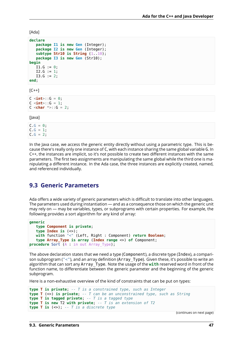[Ada]

```
declare
  package I1 is new Gen (Integer);
  package I2 is new Gen (Integer);
   subtype Str10 is String (1..10);
  package I3 is new Gen (Str10);
begin
  I1.G := 0;I2.G := 1;I3.G := 2:
end;
```

```
[C++]
```

```
C \leint>::G = 0;
C <b>int</b>::G = 1;
C <char * >::G = 2;
```
[Java]

 $C.G = 0;$  $C.G = 1;$  $C.G = 2;$ 

In the Java case, we access the generic entity directly without using a parametric type. This is because there's really only one instance of C, with each instance sharing the same global variable G. In C++, the instances are implicit, so it's not possible to create two different instances with the same parameters. The first two assignments are manipulating the same global while the third one is manipulating a different instance. In the Ada case, the three instances are explicitly created, named, and referenced individually.

#### **9.3 Generic Parameters**

Ada offers a wide variety of generic parameters which is difficult to translate into other languages. The parameters used during instantiation — and as a consequence those on which the generic unit may rely on — may be variables, types, or subprograms with certain properties. For example, the following provides a sort algorithm for any kind of array:

```
generic
  type Component is private;
  type Index is (<>);
  with function "<" (Left, Right : Component) return Boolean;
   type Array_Type is array (Index range <>) of Component;
procedure Sort (A : in out Array_Type);
```
The above declaration states that we need a type (Component), a discrete type (Index), a comparison subprogram ("<"), and an array definition (Array Type). Given these, it's possible to write an algorithm that can sort any Array\_Type. Note the usage of the **with** reserved word in front of the function name, to differentiate between the generic parameter and the beginning of the generic subprogram.

Here is a non-exhaustive overview of the kind of constraints that can be put on types:

```
type T is private; -- T is a constrained type, such as Integer
type T (<>) is private; -- T can be an unconstrained type, such as String
type T is tagged private; -- T is a tagged type
type T is new T2 with private; -- T is an extension of T2
type T is (<>); -- T is a discrete type
```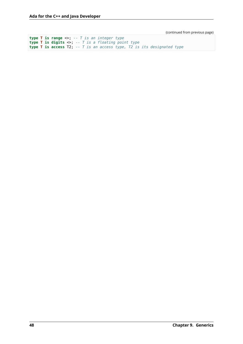**type T is range** <>; *-- T is an integer type* **type T is digits** <>; *-- T is a floating point type* **type T is access** T2; *-- T is an access type, T2 is its designated type*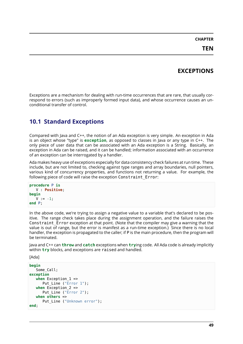# **CHAPTER**

# **EXCEPTIONS**

<span id="page-53-0"></span>Exceptions are a mechanism for dealing with run-time occurrences that are rare, that usually correspond to errors (such as improperly formed input data), and whose occurrence causes an unconditional transfer of control.

# <span id="page-53-1"></span>**10.1 Standard Exceptions**

Compared with Java and C++, the notion of an Ada exception is very simple. An exception in Ada is an object whose "type" is **exception**, as opposed to classes in Java or any type in C++. The only piece of user data that can be associated with an Ada exception is a String. Basically, an exception in Ada can be raised, and it can be handled; information associated with an occurrence of an exception can be interrogated by a handler.

Ada makes heavy use of exceptions especially for data consistency check failures at run time. These include, but are not limited to, checking against type ranges and array boundaries, null pointers, various kind of concurrency properties, and functions not returning a value. For example, the following piece of code will raise the exception Constraint\_Error:

```
procedure P is
   V : Positive;
begin
   V := -1:
end P;
```
In the above code, we're trying to assign a negative value to a variable that's declared to be positive. The range check takes place during the assignment operation, and the failure raises the Constraint Error exception at that point. (Note that the compiler may give a warning that the value is out of range, but the error is manifest as a run-time exception.) Since there is no local handler, the exception is propagated to the caller; if P is the main procedure, then the program will be terminated.

Java and C++ can **throw** and **catch** exceptions when **try**ing code. All Ada code is already implicitly within **try** blocks, and exceptions are raised and handled.

[Ada]

```
begin
   Some_Call;
exception
   when Exception 1 =>
       Put Line ("\overline{Error} 1");
   when \overline{Ex} ception 2 \RightarrowPut Line ("Error 2");
   when others =>
       Put_Line ("Unknown error");
end;
```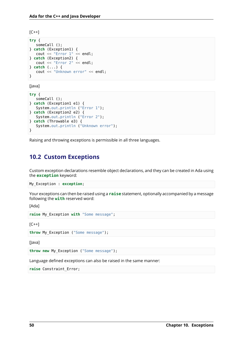$[C++]$ 

```
try {
   someCall ();
} catch (Exception1) {
   cout << "Error 1" << endl;
} catch (Exception2) {
   cout << "Error 2" << endl;
} catch (...) {
   cout << "Unknown error" << endl;
}
```
[Java]

```
try {
  someCall ();
} catch (Exception1 e1) {
  System.out.println ("Error 1");
} catch (Exception2 e2) {
  System.out.println ("Error 2");
} catch (Throwable e3) {
  System.out.println ("Unknown error");
}
```
Raising and throwing exceptions is permissible in all three languages.

# <span id="page-54-0"></span>**10.2 Custom Exceptions**

Custom exception declarations resemble object declarations, and they can be created in Ada using the **exception** keyword:

My\_Exception : **exception**;

Your exceptions can then be raised using a **raise** statement, optionally accompanied by a message following the **with** reserved word:

[Ada]

```
raise My_Exception with "Some message";
```
 $[C++]$ 

**throw** My\_Exception ("Some message");

[Java]

**throw new** My\_Exception ("Some message");

Language defined exceptions can also be raised in the same manner:

**raise** Constraint\_Error;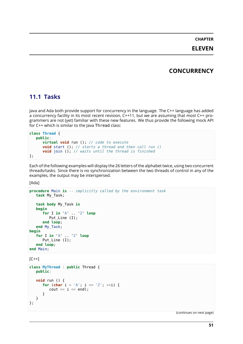### **CHAPTER ELEVEN**

# **CONCURRENCY**

### <span id="page-55-1"></span><span id="page-55-0"></span>**11.1 Tasks**

Java and Ada both provide support for concurrency in the language. The C++ language has added a concurrency facility in its most recent revision, C++11, but we are assuming that most C++ programmers are not (yet) familiar with these new features. We thus provide the following mock API for C++ which is similar to the Java Thread class:

```
class Thread {
  public:
     virtual void run (); // code to execute
      void start (); // starts a thread and then call run ()
      void join (); // waits until the thread is finished
};
```
Each of the following examples will display the 26 letters of the alphabet twice, using two concurrent threads/tasks. Since there is no synchronization between the two threads of control in any of the examples, the output may be interspersed.

[Ada]

```
procedure Main is -- implicitly called by the environment task
   task My_Task;
   task body My_Task is
   begin
      for I in 'A' .. 'Z' loop
         Put Line (I);
      end loop;
   end My_Task;
begin
   for I in 'A' .. 'Z' loop
      Put Line (I);
   end loop;
end Main;
```
 $[C++]$ 

```
class MyThread : public Thread {
   public:
   void run () {
      for (char i = 'A'; i \leq 'Z'; ++i) {
          cout \lt\lt i \lt\lt endl;
      }
   }
};
```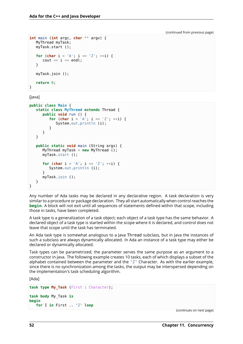```
int main (int argc, char ** argv) {
   MyThread myTask;
   myTask.start ();
   for (char i = 'A'; i \leq 'Z'; ++i) {
      cout \lt\lt i \lt\lt endl;
   }
   myTask.join ();
   return 0;
}
```
[Java]

```
public class Main {
   static class MyThread extends Thread {
      public void run () {
         for (char i = 'A'; i \leq 'Z'; ++i) {
            System.out.println (i);
         }
      }
   }
   public static void main (String args) {
      MyThread myTask = new MyThread ();
      myTask.start ();
      for (char i = 'A'; i \leq 'Z'; ++i) {
         System.out.println (i);
      }
      myTask.join ();
   }
}
```
Any number of Ada tasks may be declared in any declarative region. A task declaration is very similar to a procedure or package declaration. They all start automatically when control reaches the **begin**. A block will not exit until all sequences of statements defined within that scope, including those in tasks, have been completed.

A task type is a generalization of a task object; each object of a task type has the same behavior. A declared object of a task type is started within the scope where it is declared, and control does not leave that scope until the task has terminated.

An Ada task type is somewhat analogous to a Java Thread subclass, but in Java the instances of such a subclass are always dynamically allocated. In Ada an instance of a task type may either be declared or dynamically allocated.

Task types can be parametrized; the parameter serves the same purpose as an argument to a constructor in Java. The following example creates 10 tasks, each of which displays a subset of the alphabet contained between the parameter and the 'Z' Character. As with the earlier example, since there is no synchronization among the tasks, the output may be interspersed depending on the implementation's task scheduling algorithm.

[Ada]

```
task type My_Task (First : Character);
task body My_Task is
begin
   for I in First .. 'Z' loop
```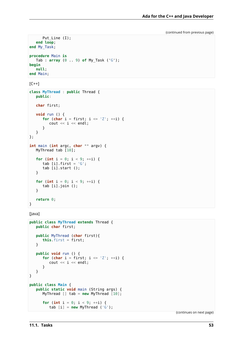```
Put_Line (I);
   end loop;
end My_Task;
procedure Main is
  Tab : array (0 .. 9) of My_Task ('G');
begin
   null;
end Main;
```
 $[C++]$ 

```
class MyThread : public Thread {
   public:
   char first;
   void run () {
      for (char i = first; i \leq 'Z'; +i) {
         cout << i << endl;
      }
   }
};
int main (int argc, char ** argv) {
   MyThread tab [10];
   for (int i = 0; i < 9; ++i) {
      tab [i].first = 'G';
      tab [i].start ();
   }
   for (int i = 0; i < 9; ++i) {
      tab [i].join ();
   }
   return 0;
}
```
[Java]

```
public class MyThread extends Thread {
   public char first;
   public MyThread (char first){
      this.first = first;
   }
   public void run () {
      for (char i = first; i \leq 'Z'; ++i) {
         cout << i << endl;
      }
   }
}
public class Main {
   public static void main (String args) {
     MyThread [] tab = new MyThread [10];
      for (int i = 0; i < 9; ++i) {
         tab [i] = new MyThread ('G');
```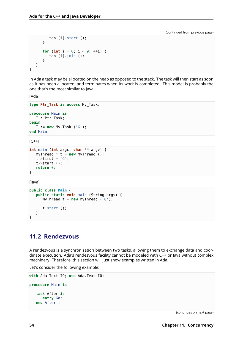```
tab [i].start ();
      }
      for (int i = 0; i < 9; ++i) {
         tab [i].join ();
      }
   }
}
```
In Ada a task may be allocated on the heap as opposed to the stack. The task will then start as soon as it has been allocated, and terminates when its work is completed. This model is probably the one that's the most similar to Java:

[Ada]

```
type Ptr_Task is access My_Task;
procedure Main is
  T : Ptr_Task;
begin
   T := new My Task ('G');
end Main;
```
 $[C++]$ 

```
int main (int argc, char ** argv) {
  MyThread * t = new MyThread ();
   t->first = 'G';
   t->start ();
   return 0;
}
```
[Java]

```
public class Main {
   public static void main (String args) {
      MyThread t = new MyThread ('G');
      t.start ();
   }
}
```
### <span id="page-58-0"></span>**11.2 Rendezvous**

A rendezvous is a synchronization between two tasks, allowing them to exchange data and coordinate execution. Ada's rendezvous facility cannot be modeled with C++ or Java without complex machinery. Therefore, this section will just show examples written in Ada.

Let's consider the following example:

```
with Ada.Text_IO; use Ada.Text_IO;
procedure Main is
   task After is
     entry Go;
   end After ;
```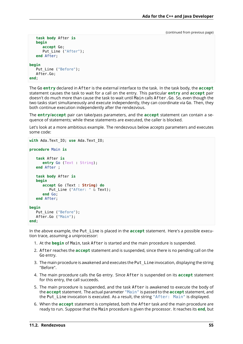```
task body After is
   begin
      accept Go;
      Put_Line ("After");
   end After;
begin
   Put Line ("Before");
   After.Go:
end;
```
The Go **entry** declared in After is the external interface to the task. In the task body, the **accept** statement causes the task to wait for a call on the entry. This particular **entry** and **accept** pair doesn't do much more than cause the task to wait until Main calls After.Go. So, even though the two tasks start simultaneously and execute independently, they can coordinate via Go. Then, they both continue execution independently after the rendezvous.

The **entry**/**accept** pair can take/pass parameters, and the **accept** statement can contain a sequence of statements; while these statements are executed, the caller is blocked.

Let's look at a more ambitious example. The rendezvous below accepts parameters and executes some code:

```
with Ada.Text_IO; use Ada.Text_IO;
procedure Main is
   task After is
      entry Go (Text : String);
   end After ;
   task body After is
   begin
      accept Go (Text : String) do
         Put_Line ("After: " & Text);
      end Go;
   end After;
begin
   Put Line ("Before");
   After.Go ("Main");
end;
```
In the above example, the Put\_Line is placed in the **accept** statement. Here's a possible execution trace, assuming a uniprocessor:

- 1. At the **begin** of Main, task After is started and the main procedure is suspended.
- 2. After reaches the **accept** statement and is suspended, since there is no pending call on the Go entry.
- 3. The main procedure is awakened and executes the Put Line invocation, displaying the string "Before".
- 4. The main procedure calls the Go entry. Since After is suspended on its **accept** statement for this entry, the call succeeds.
- 5. The main procedure is suspended, and the task After is awakened to execute the body of the **accept** statement. The actual parameter "Main" is passed to the **accept** statement, and the Put Line invocation is executed. As a result, the string "After: Main" is displayed.
- 6. When the **accept** statement is completed, both the After task and the main procedure are ready to run. Suppose that the Main procedure is given the processor. It reaches its **end**, but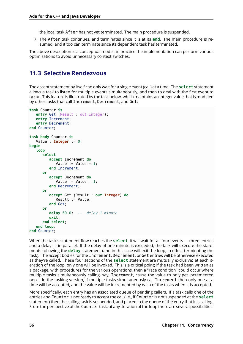the local task After has not yet terminated. The main procedure is suspended.

7. The After task continues, and terminates since it is at its **end**. The main procedure is resumed, and it too can terminate since its dependent task has terminated.

The above description is a conceptual model; in practice the implementation can perform various optimizations to avoid unnecessary context switches.

# <span id="page-60-0"></span>**11.3 Selective Rendezvous**

The accept statement by itself can only wait for a single event (call) at a time. The **select** statement allows a task to listen for multiple events simultaneously, and then to deal with the first event to occur. This feature is illustrated by the task below, which maintains an integer value that is modified by other tasks that call Increment, Decrement, and Get:

```
task Counter is
   entry Get (Result : out Integer);
   entry Increment;
   entry Decrement;
end Counter;
task body Counter is
   Value : Integer := 0;
begin
   loop
      select
         accept Increment do
            Value := Value +1:
         end Increment;
      or
         accept Decrement do
            Value := Value -1:
         end Decrement;
      or
         accept Get (Result : out Integer) do
            Result := Value;
         end Get;
      or
         delay 60.0; -- delay 1 minute
         exit;
      end select;
   end loop;
end Counter;
```
When the task's statement flow reaches the **select**, it will wait for all four events — three entries and a delay — in parallel. If the delay of one minute is exceeded, the task will execute the statements following the **delay** statement (and in this case will exit the loop, in effect terminating the task). The accept bodies for the Increment, Decrement, or Get entries will be otherwise executed as they're called. These four sections of the **select** statement are mutually exclusive: at each iteration of the loop, only one will be invoked. This is a critical point; if the task had been written as a package, with procedures for the various operations, then a "race condition" could occur where multiple tasks simultaneously calling, say, Increment, cause the value to only get incremented once. In the tasking version, if multiple tasks simultaneously call Increment then only one at a time will be accepted, and the value will be incremented by each of the tasks when it is accepted.

More specifically, each entry has an associated queue of pending callers. If a task calls one of the entries and Counter is not ready to accept the call (i.e., if Counter is not suspended at the **select** statement) then the calling task is suspended, and placed in the queue of the entry that it is calling. From the perspective of the Counter task, at any iteration of the loop there are several possibilities: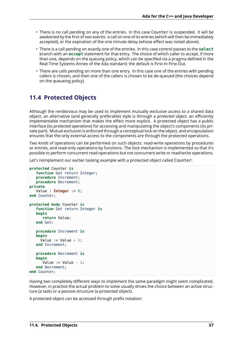- There is no call pending on any of the entries. In this case Counter is suspended. It will be awakened by the first of two events: a call on one of its entries (which will then be immediately accepted), or the expiration of the one minute delay (whose effect was noted above).
- There is a call pending on exactly one of the entries. In this case control passes to the **select** branch with an **accept** statement for that entry. The choice of which caller to accept, if more than one, depends on the queuing policy, which can be specified via a pragma defined in the Real-Time Systems Annex of the Ada standard; the default is First-In First-Out.
- There are calls pending on more than one entry. In this case one of the entries with pending callers is chosen, and then one of the callers is chosen to be de-queued (the choices depend on the queueing policy).

# <span id="page-61-0"></span>**11.4 Protected Objects**

Although the rendezvous may be used to implement mutually exclusive access to a shared data object, an alternative (and generally preferable) style is through a *protected object*, an efficiently implementable mechanism that makes the effect more explicit. A protected object has a public interface (its *protected operations*) for accessing and manipulating the object's components (its private part). Mutual exclusion is enforced through a conceptual lock on the object, and encapsulation ensures that the only external access to the components are through the protected operations.

Two kinds of operations can be performed on such objects: read-write operations by procedures or entries, and read-only operations by functions. The lock mechanism is implemented so that it's possible to perform concurrent read operations but not concurrent write or read/write operations.

Let's reimplement our earlier tasking example with a protected object called Counter:

```
protected Counter is
   function Get return Integer;
   procedure Increment;
   procedure Decrement;
private
   Value : Integer := 0;
end Counter;
protected body Counter is
   function Get return Integer is
   begin
      return Value;
   end Get;
   procedure Increment is
   begin
     Value := Value + 1;
   end Increment;
   procedure Decrement is
   begin
      Value := Value -1:
   end Decrement;
end Counter;
```
Having two completely different ways to implement the same paradigm might seem complicated. However, in practice the actual problem to solve usually drives the choice between an active structure (a task) or a passive structure (a protected object).

A protected object can be accessed through prefix notation: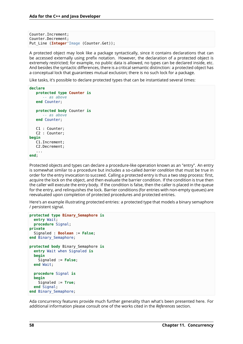Counter.Increment; Counter.Decrement; Put Line (**Integer**'Image (Counter.Get));

A protected object may look like a package syntactically, since it contains declarations that can be accessed externally using prefix notation. However, the declaration of a protected object is extremely restricted; for example, no public data is allowed, no types can be declared inside, etc. And besides the syntactic differences, there is a critical semantic distinction: a protected object has a conceptual lock that guarantees mutual exclusion; there is no such lock for a package.

Like tasks, it's possible to declare protected types that can be instantiated several times:

```
declare
   protected type Counter is
      -- as above
   end Counter;
   protected body Counter is
     -- as above
   end Counter;
   C1 : Counter;
   C2 : Counter;
begin
   C1.Increment;
   C2.Decrement;
   ...
end;
```
Protected objects and types can declare a procedure-like operation known as an "entry". An entry is somewhat similar to a procedure but includes a so-called *barrier condition* that must be true in order for the entry invocation to succeed. Calling a protected entry is thus a two step process: first, acquire the lock on the object, and then evaluate the barrier condition. If the condition is true then the caller will execute the entry body. If the condition is false, then the caller is placed in the queue for the entry, and relinquishes the lock. Barrier conditions (for entries with non-empty queues) are reevaluated upon completion of protected procedures and protected entries.

Here's an example illustrating protected entries: a protected type that models a binary semaphore / persistent signal.

```
protected type Binary_Semaphore is
  entry Wait;
  procedure Signal;
private
 Signaled : Boolean := False;
end Binary_Semaphore;
protected body Binary_Semaphore is
  entry Wait when Signaled is
  begin
    Signaled := False;
  end Wait;
  procedure Signal is
  begin
    Signaled := True;
  end Signal;
end Binary_Semaphore;
```
Ada concurrency features provide much further generality than what's been presented here. For additional information please consult one of the works cited in the *References* section.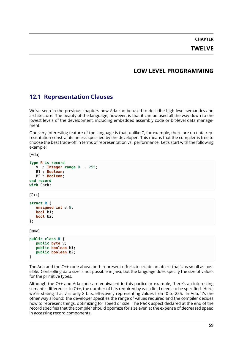**CHAPTER TWELVE**

# **LOW LEVEL PROGRAMMING**

# <span id="page-63-1"></span><span id="page-63-0"></span>**12.1 Representation Clauses**

We've seen in the previous chapters how Ada can be used to describe high level semantics and architecture. The beauty of the language, however, is that it can be used all the way down to the lowest levels of the development, including embedded assembly code or bit-level data management.

One very interesting feature of the language is that, unlike C, for example, there are no data representation constraints unless specified by the developer. This means that the compiler is free to choose the best trade-off in terms of representation vs. performance. Let's start with the following example:

[Ada]

```
type R is record
  V : Integer range 0 .. 255;
  B1 : Boolean;
  B2 : Boolean;
end record
with Pack;
```
 $[C++]$ 

```
struct R {
   unsigned int v:8;
   bool b1;
   bool b2;
};
```
[Java]

```
public class R {
   public byte v;
   public boolean b1;
   public boolean b2;
}
```
The Ada and the C++ code above both represent efforts to create an object that's as small as possible. Controlling data size is not possible in Java, but the language does specify the size of values for the primitive types.

Although the C++ and Ada code are equivalent in this particular example, there's an interesting semantic difference. In C++, the number of bits required by each field needs to be specified. Here, we're stating that v is only 8 bits, effectively representing values from 0 to 255. In Ada, it's the other way around: the developer specifies the range of values required and the compiler decides how to represent things, optimizing for speed or size. The Pack aspect declared at the end of the record specifies that the compiler should optimize for size even at the expense of decreased speed in accessing record components.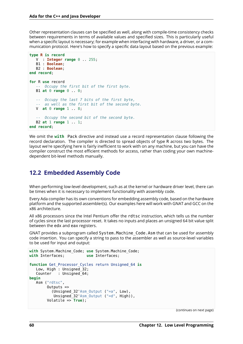Other representation clauses can be specified as well, along with compile-time consistency checks between requirements in terms of available values and specified sizes. This is particularly useful when a specific layout is necessary; for example when interfacing with hardware, a driver, or a communication protocol. Here's how to specify a specific data layout based on the previous example:

```
type R is record
  V : Integer range 0 .. 255;
  B1 : Boolean;
  B2 : Boolean;
end record;
for R use record
   -- Occupy the first bit of the first byte.
  B1 at 0 range 0 .. 0;
  -- Occupy the last 7 bits of the first byte,
   -- as well as the first bit of the second byte.
  V at 0 range 1 .. 8;
  -- Occupy the second bit of the second byte.
  B2 at 1 range 1 .. 1;
end record;
```
We omit the **with** Pack directive and instead use a record representation clause following the record declaration. The compiler is directed to spread objects of type R across two bytes. The layout we're specifying here is fairly inefficient to work with on any machine, but you can have the compiler construct the most efficient methods for access, rather than coding your own machinedependent bit-level methods manually.

### <span id="page-64-0"></span>**12.2 Embedded Assembly Code**

When performing low-level development, such as at the kernel or hardware driver level, there can be times when it is necessary to implement functionality with assembly code.

Every Ada compiler has its own conventions for embedding assembly code, based on the hardware platform and the supported assembler(s). Our examples here will work with GNAT and GCC on the x86 architecture.

All x86 processors since the Intel Pentium offer the rdtsc instruction, which tells us the number of cycles since the last processor reset. It takes no inputs and places an unsigned 64 bit value split between the edx and eax registers.

GNAT provides a subprogram called System.Machine Code.Asm that can be used for assembly code insertion. You can specify a string to pass to the assembler as well as source-level variables to be used for input and output:

```
with System.Machine_Code; use System.Machine_Code;
with Interfaces; use Interfaces;
function Get_Processor_Cycles return Unsigned_64 is
   Low, High : Unsigned_32;
   Counter : Unsigned_64;
begin
   Asm ("rdtsc",
        Outputs =>
          (Unsigned_32'Asm_Output ("=a", Low),
           Unsigned<sup>-32'Asm<sup>-</sup>Output ("=d", High)),</sup>
        Volatile => True);
```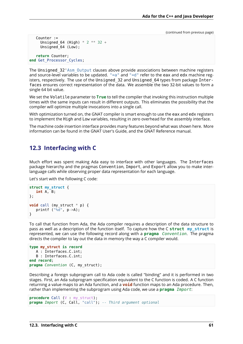```
Counter :=
     Unsigned 64 (High) * 2 ** 32 +
     Unsigned 64 (Low);
   return Counter;
end Get_Processor_Cycles;
```
The Unsigned 32'Asm Output clauses above provide associations between machine registers and source-level variables to be updated.  $"=a"$  and  $"=d"$  refer to the eax and edx machine registers, respectively. The use of the Unsigned 32 and Unsigned 64 types from package Interfaces ensures correct representation of the data. We assemble the two 32-bit values to form a single 64 bit value.

We set the Volatile parameter to **True** to tell the compiler that invoking this instruction multiple times with the same inputs can result in different outputs. This eliminates the possibility that the compiler will optimize multiple invocations into a single call.

With optimization turned on, the GNAT compiler is smart enough to use the eax and edx registers to implement the High and Low variables, resulting in zero overhead for the assembly interface.

The machine code insertion interface provides many features beyond what was shown here. More information can be found in the GNAT User's Guide, and the GNAT Reference manual.

#### <span id="page-65-0"></span>**12.3 Interfacing with C**

Much effort was spent making Ada easy to interface with other languages. The Interfaces package hierarchy and the pragmas Convention, Import, and Export allow you to make interlanguage calls while observing proper data representation for each language.

Let's start with the following C code:

```
struct my_struct {
   int A, B;
};
void call (my struct * p) {
   printf ("ad", p->A);}
```
To call that function from Ada, the Ada compiler requires a description of the data structure to pass as well as a description of the function itself. To capture how the C **struct my\_struct** is represented, we can use the following record along with a **pragma** *Convention*. The pragma directs the compiler to lay out the data in memory the way a C compiler would.

```
type my_struct is record
   A : Interfaces.C.int;
   B : Interfaces.C.int;
end record;
pragma Convention (C, my_struct);
```
Describing a foreign subprogram call to Ada code is called "binding" and it is performed in two stages. First, an Ada subprogram specification equivalent to the C function is coded. A C function returning a value maps to an Ada function, and a **void** function maps to an Ada procedure. Then, rather than implementing the subprogram using Ada code, we use a **pragma** *Import*:

```
procedure Call (V : my_struct);
pragma Import (C, Call, "call"); -- Third argument optional
```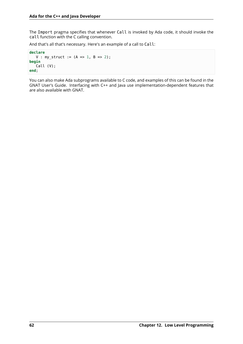The Import pragma specifies that whenever Call is invoked by Ada code, it should invoke the call function with the C calling convention.

And that's all that's necessary. Here's an example of a call to Call:

```
declare
   V : my_struct := (A \implies 1, B \implies 2);
begin
   Call (V);
end;
```
You can also make Ada subprograms available to C code, and examples of this can be found in the GNAT User's Guide. Interfacing with C++ and Java use implementation-dependent features that are also available with GNAT.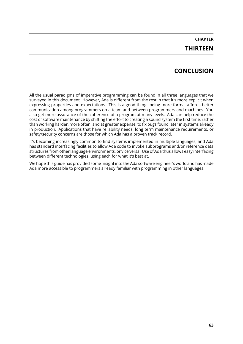# **CHAPTER THIRTEEN**

# **CONCLUSION**

All the usual paradigms of imperative programming can be found in all three languages that we surveyed in this document. However, Ada is different from the rest in that it's more explicit when expressing properties and expectations. This is a good thing: being more formal affords better communication among programmers on a team and between programmers and machines. You also get more assurance of the coherence of a program at many levels. Ada can help reduce the cost of software maintenance by shifting the effort to creating a sound system the first time, rather than working harder, more often, and at greater expense, to fix bugs found later in systems already in production. Applications that have reliability needs, long term maintenance requirements, or safety/security concerns are those for which Ada has a proven track record.

It's becoming increasingly common to find systems implemented in multiple languages, and Ada has standard interfacing facilities to allow Ada code to invoke subprograms and/or reference data structures from other language environments, or vice versa. Use of Ada thus allows easy interfacing between different technologies, using each for what it's best at.

We hope this guide has provided some insight into the Ada software engineer's world and has made Ada more accessible to programmers already familiar with programming in other languages.